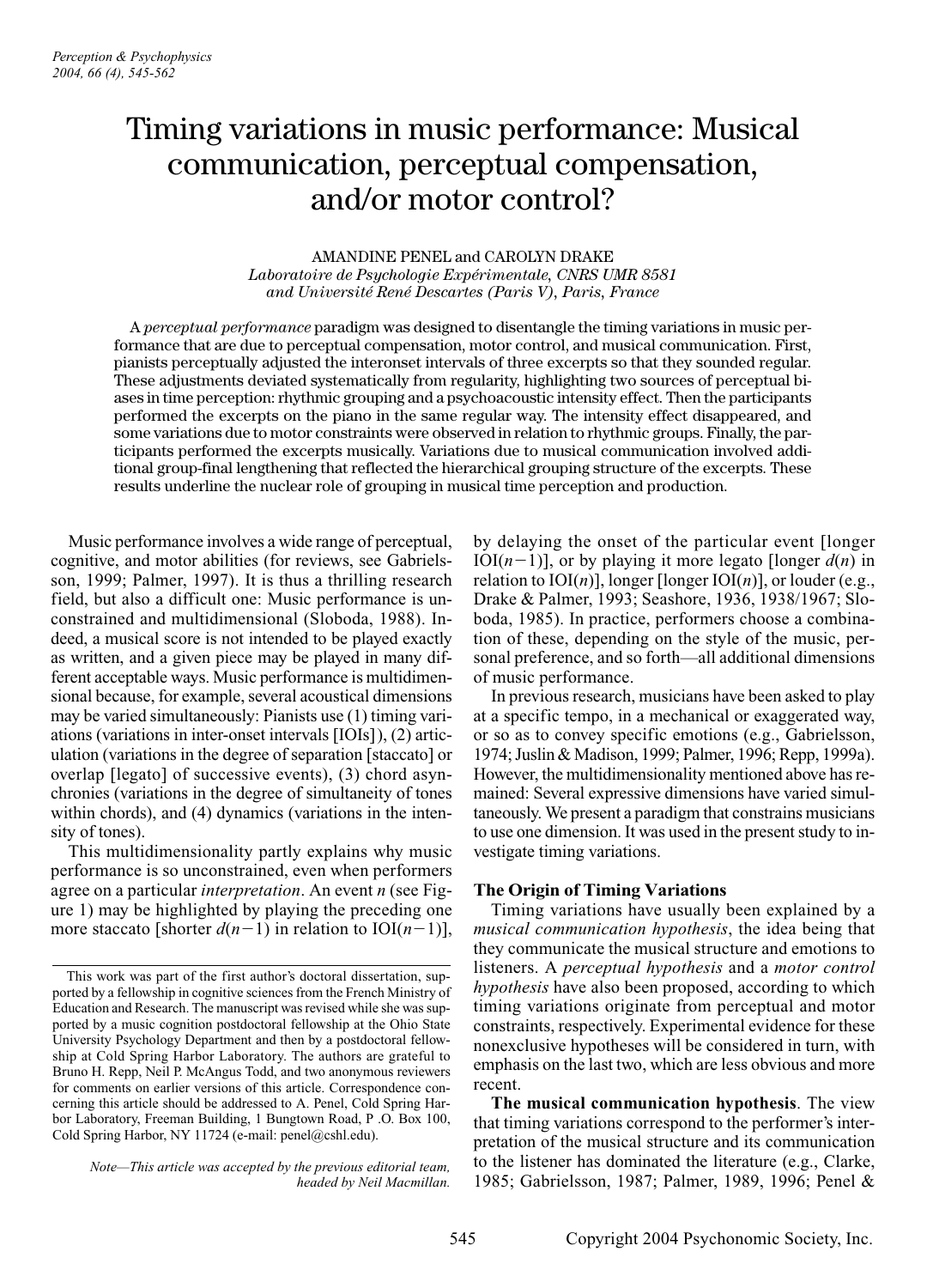# Timing variations in music performance: Musical communication, perceptual compensation, and/or motor control?

#### AMANDINE PENEL and CAROLYN DRAKE *Laboratoire de Psychologie Expérimentale, CNRS UMR 8581 and Université René Descartes (Paris V), Paris, France*

A *perceptual performance* paradigm was designed to disentangle the timing variations in music performance that are due to perceptual compensation, motor control, and musical communication. First, pianists perceptually adjusted the interonset intervals of three excerpts so that they sounded regular. These adjustments deviated systematically from regularity, highlighting two sources of perceptual biases in time perception: rhythmic grouping and a psychoacoustic intensity effect. Then the participants performed the excerpts on the piano in the same regular way. The intensity effect disappeared, and some variations due to motor constraints were observed in relation to rhythmic groups. Finally, the participants performed the excerpts musically. Variations due to musical communication involved additional group-final lengthening that reflected the hierarchical grouping structure of the excerpts. These results underline the nuclear role of grouping in musical time perception and production.

Music performance involves a wide range of perceptual, cognitive, and motor abilities (for reviews, see Gabrielsson, 1999; Palmer, 1997). It is thus a thrilling research field, but also a difficult one: Music performance is unconstrained and multidimensional (Sloboda, 1988). Indeed, a musical score is not intended to be played exactly as written, and a given piece may be played in many different acceptable ways. Music performance is multidimensional because, for example, several acoustical dimensions may be varied simultaneously: Pianists use (1) timing variations (variations in inter-onset intervals [IOIs]), (2) articulation (variations in the degree of separation [staccato] or overlap [legato] of successive events), (3) chord asynchronies (variations in the degree of simultaneity of tones within chords), and (4) dynamics (variations in the intensity of tones).

This multidimensionality partly explains why music performance is so unconstrained, even when performers agree on a particular *interpretation*. An event *n* (see Figure 1) may be highlighted by playing the preceding one more staccato [shorter  $d(n-1)$  in relation to  $IOI(n-1)$ ],

*Note—This article was accepted by the previous editorial team, headed by Neil Macmillan.* by delaying the onset of the particular event [longer IOI( $n-1$ )], or by playing it more legato [longer  $d(n)$  in relation to IOI(*n*)], longer [longer IOI(*n*)], or louder (e.g., Drake & Palmer, 1993; Seashore, 1936, 1938/1967; Sloboda, 1985). In practice, performers choose a combination of these, depending on the style of the music, personal preference, and so forth—all additional dimensions of music performance.

In previous research, musicians have been asked to play at a specific tempo, in a mechanical or exaggerated way, or so as to convey specific emotions (e.g., Gabrielsson, 1974; Juslin & Madison, 1999; Palmer, 1996; Repp, 1999a). However, the multidimensionality mentioned above has remained: Several expressive dimensions have varied simultaneously. We present a paradigm that constrains musicians to use one dimension. It was used in the present study to investigate timing variations.

# **The Origin of Timing Variations**

Timing variations have usually been explained by a *musical communication hypothesis*, the idea being that they communicate the musical structure and emotions to listeners. A *perceptual hypothesis* and a *motor control hypothesis* have also been proposed, according to which timing variations originate from perceptual and motor constraints, respectively. Experimental evidence for these nonexclusive hypotheses will be considered in turn, with emphasis on the last two, which are less obvious and more recent.

**The musical communication hypothesis**. The view that timing variations correspond to the performer's interpretation of the musical structure and its communication to the listener has dominated the literature (e.g., Clarke, 1985; Gabrielsson, 1987; Palmer, 1989, 1996; Penel &

This work was part of the first author's doctoral dissertation, supported by a fellowship in cognitive sciences from the French Ministry of Education and Research. The manuscript was revised while she was supported by a music cognition postdoctoral fellowship at the Ohio State University Psychology Department and then by a postdoctoral fellowship at Cold Spring Harbor Laboratory. The authors are grateful to Bruno H. Repp, Neil P. McAngus Todd, and two anonymous reviewers for comments on earlier versions of this article. Correspondence concerning this article should be addressed to A. Penel, Cold Spring Harbor Laboratory, Freeman Building, 1 Bungtown Road, P .O. Box 100, Cold Spring Harbor, NY 11724 (e-mail: penel@cshl.edu).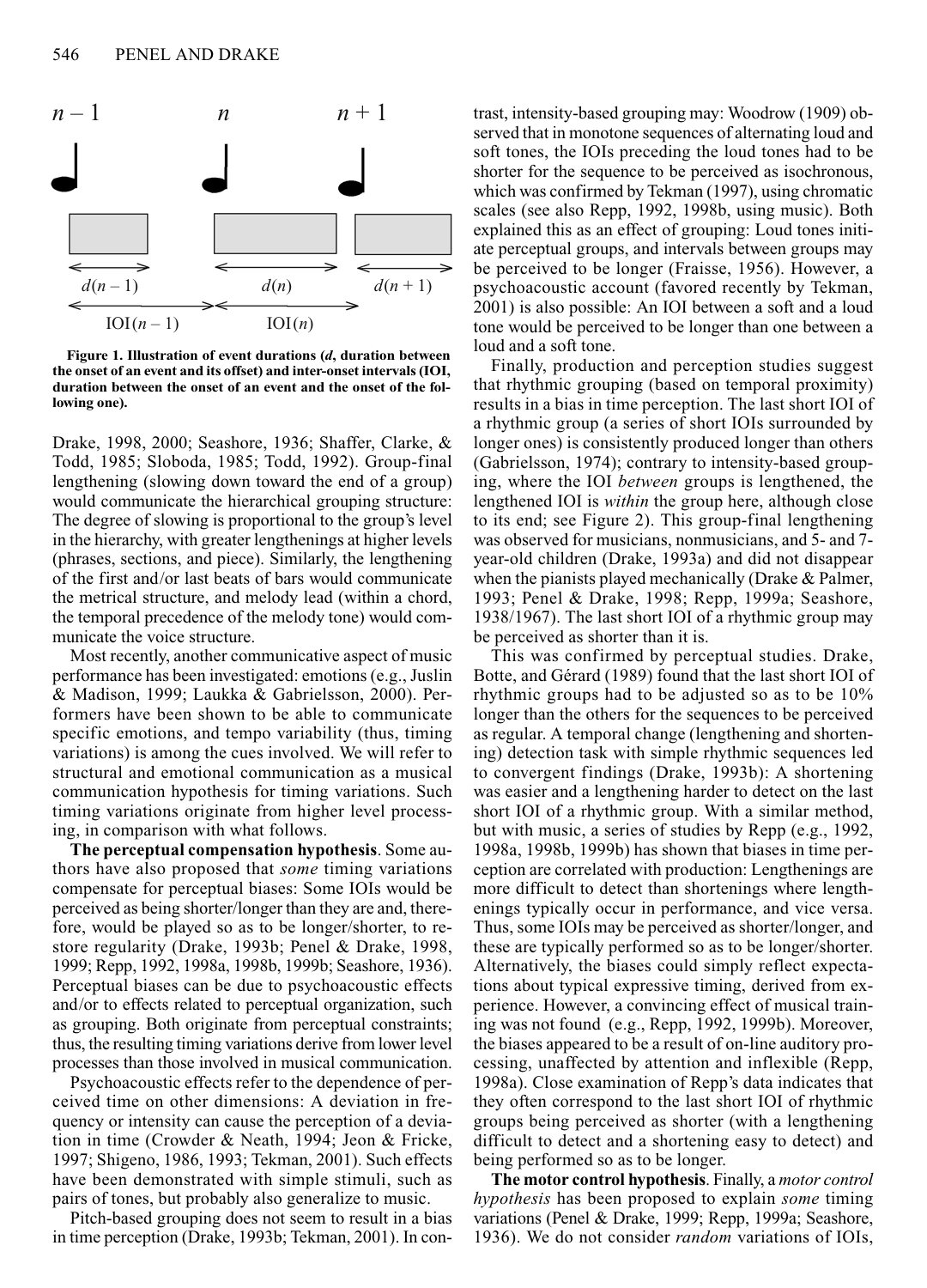

**Figure 1. Illustration of event durations (***d***, duration between the onset of an event and its offset) and inter-onset intervals (IOI, duration between the onset of an event and the onset of the following one).**

Drake, 1998, 2000; Seashore, 1936; Shaffer, Clarke, & Todd, 1985; Sloboda, 1985; Todd, 1992). Group-final lengthening (slowing down toward the end of a group) would communicate the hierarchical grouping structure: The degree of slowing is proportional to the group's level in the hierarchy, with greater lengthenings at higher levels (phrases, sections, and piece). Similarly, the lengthening of the first and/or last beats of bars would communicate the metrical structure, and melody lead (within a chord, the temporal precedence of the melody tone) would communicate the voice structure.

Most recently, another communicative aspect of music performance has been investigated: emotions (e.g., Juslin & Madison, 1999; Laukka & Gabrielsson, 2000). Performers have been shown to be able to communicate specific emotions, and tempo variability (thus, timing variations) is among the cues involved. We will refer to structural and emotional communication as a musical communication hypothesis for timing variations. Such timing variations originate from higher level processing, in comparison with what follows.

**The perceptual compensation hypothesis**. Some authors have also proposed that *some* timing variations compensate for perceptual biases: Some IOIs would be perceived as being shorter/longer than they are and, therefore, would be played so as to be longer/shorter, to restore regularity (Drake, 1993b; Penel & Drake, 1998, 1999; Repp, 1992, 1998a, 1998b, 1999b; Seashore, 1936). Perceptual biases can be due to psychoacoustic effects and/or to effects related to perceptual organization, such as grouping. Both originate from perceptual constraints; thus, the resulting timing variations derive from lower level processes than those involved in musical communication.

Psychoacoustic effects refer to the dependence of perceived time on other dimensions: A deviation in frequency or intensity can cause the perception of a deviation in time (Crowder & Neath, 1994; Jeon & Fricke, 1997; Shigeno, 1986, 1993; Tekman, 2001). Such effects have been demonstrated with simple stimuli, such as pairs of tones, but probably also generalize to music.

Pitch-based grouping does not seem to result in a bias in time perception (Drake, 1993b; Tekman, 2001). In contrast, intensity-based grouping may: Woodrow (1909) observed that in monotone sequences of alternating loud and soft tones, the IOIs preceding the loud tones had to be shorter for the sequence to be perceived as isochronous, which was confirmed by Tekman (1997), using chromatic scales (see also Repp, 1992, 1998b, using music). Both explained this as an effect of grouping: Loud tones initiate perceptual groups, and intervals between groups may be perceived to be longer (Fraisse, 1956). However, a psychoacoustic account (favored recently by Tekman, 2001) is also possible: An IOI between a soft and a loud tone would be perceived to be longer than one between a loud and a soft tone.

Finally, production and perception studies suggest that rhythmic grouping (based on temporal proximity) results in a bias in time perception. The last short IOI of a rhythmic group (a series of short IOIs surrounded by longer ones) is consistently produced longer than others (Gabrielsson, 1974); contrary to intensity-based grouping, where the IOI *between* groups is lengthened, the lengthened IOI is *within* the group here, although close to its end; see Figure 2). This group-final lengthening was observed for musicians, nonmusicians, and 5- and 7 year-old children (Drake, 1993a) and did not disappear when the pianists played mechanically (Drake & Palmer, 1993; Penel & Drake, 1998; Repp, 1999a; Seashore, 1938/1967). The last short IOI of a rhythmic group may be perceived as shorter than it is.

This was confirmed by perceptual studies. Drake, Botte, and Gérard (1989) found that the last short IOI of rhythmic groups had to be adjusted so as to be 10% longer than the others for the sequences to be perceived as regular. A temporal change (lengthening and shortening) detection task with simple rhythmic sequences led to convergent findings (Drake, 1993b): A shortening was easier and a lengthening harder to detect on the last short IOI of a rhythmic group. With a similar method, but with music, a series of studies by Repp (e.g., 1992, 1998a, 1998b, 1999b) has shown that biases in time perception are correlated with production: Lengthenings are more difficult to detect than shortenings where lengthenings typically occur in performance, and vice versa. Thus, some IOIs may be perceived as shorter/longer, and these are typically performed so as to be longer/shorter. Alternatively, the biases could simply reflect expectations about typical expressive timing, derived from experience. However, a convincing effect of musical training was not found (e.g., Repp, 1992, 1999b). Moreover, the biases appeared to be a result of on-line auditory processing, unaffected by attention and inflexible (Repp, 1998a). Close examination of Repp's data indicates that they often correspond to the last short IOI of rhythmic groups being perceived as shorter (with a lengthening difficult to detect and a shortening easy to detect) and being performed so as to be longer.

**The motor control hypothesis**. Finally, a *motor control hypothesis* has been proposed to explain *some* timing variations (Penel & Drake, 1999; Repp, 1999a; Seashore, 1936). We do not consider *random* variations of IOIs,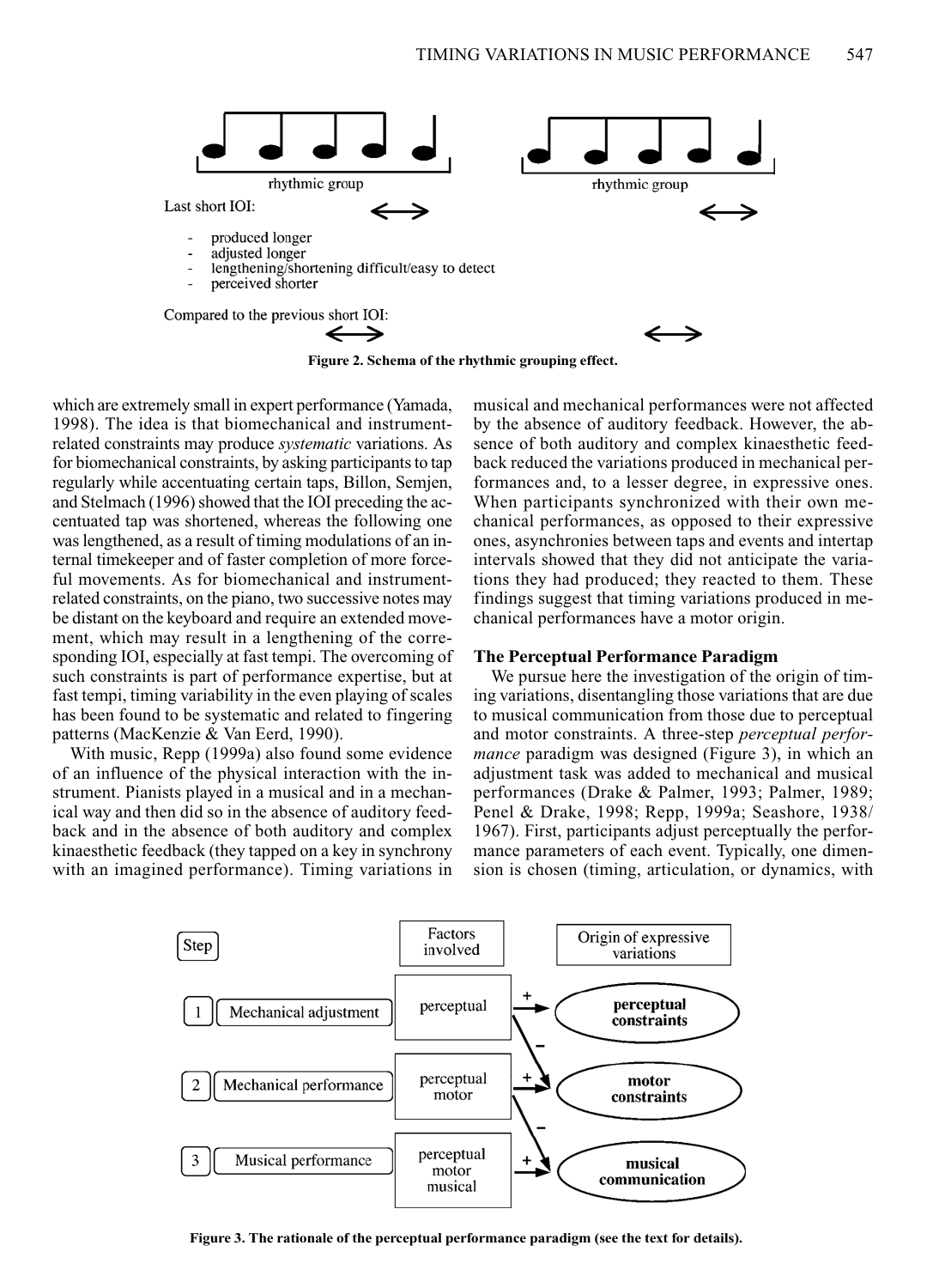

**Figure 2. Schema of the rhythmic grouping effect.**

which are extremely small in expert performance (Yamada, 1998). The idea is that biomechanical and instrumentrelated constraints may produce *systematic* variations. As for biomechanical constraints, by asking participants to tap regularly while accentuating certain taps, Billon, Semjen, and Stelmach (1996) showed that the IOI preceding the accentuated tap was shortened, whereas the following one was lengthened, as a result of timing modulations of an internal timekeeper and of faster completion of more forceful movements. As for biomechanical and instrumentrelated constraints, on the piano, two successive notes may be distant on the keyboard and require an extended movement, which may result in a lengthening of the corresponding IOI, especially at fast tempi. The overcoming of such constraints is part of performance expertise, but at fast tempi, timing variability in the even playing of scales has been found to be systematic and related to fingering patterns (MacKenzie & Van Eerd, 1990).

With music, Repp (1999a) also found some evidence of an influence of the physical interaction with the instrument. Pianists played in a musical and in a mechanical way and then did so in the absence of auditory feedback and in the absence of both auditory and complex kinaesthetic feedback (they tapped on a key in synchrony with an imagined performance). Timing variations in musical and mechanical performances were not affected by the absence of auditory feedback. However, the absence of both auditory and complex kinaesthetic feedback reduced the variations produced in mechanical performances and, to a lesser degree, in expressive ones. When participants synchronized with their own mechanical performances, as opposed to their expressive ones, asynchronies between taps and events and intertap intervals showed that they did not anticipate the variations they had produced; they reacted to them. These findings suggest that timing variations produced in mechanical performances have a motor origin.

#### **The Perceptual Performance Paradigm**

We pursue here the investigation of the origin of timing variations, disentangling those variations that are due to musical communication from those due to perceptual and motor constraints. A three-step *perceptual performance* paradigm was designed (Figure 3), in which an adjustment task was added to mechanical and musical performances (Drake & Palmer, 1993; Palmer, 1989; Penel & Drake, 1998; Repp, 1999a; Seashore, 1938/ 1967). First, participants adjust perceptually the performance parameters of each event. Typically, one dimension is chosen (timing, articulation, or dynamics, with



**Figure 3. The rationale of the perceptual performance paradigm (see the text for details).**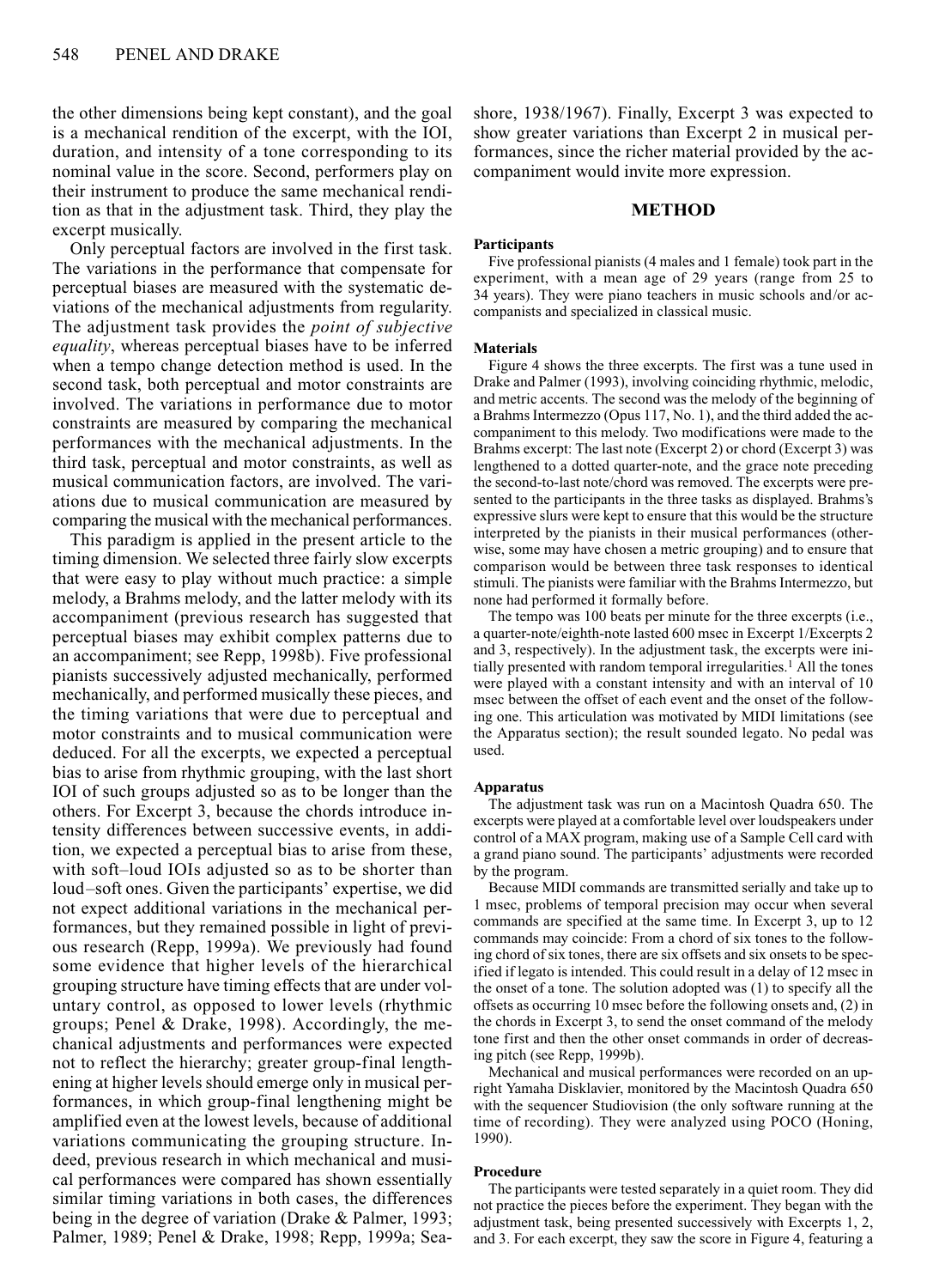the other dimensions being kept constant), and the goal is a mechanical rendition of the excerpt, with the IOI, duration, and intensity of a tone corresponding to its nominal value in the score. Second, performers play on their instrument to produce the same mechanical rendition as that in the adjustment task. Third, they play the excerpt musically.

Only perceptual factors are involved in the first task. The variations in the performance that compensate for perceptual biases are measured with the systematic deviations of the mechanical adjustments from regularity. The adjustment task provides the *point of subjective equality*, whereas perceptual biases have to be inferred when a tempo change detection method is used. In the second task, both perceptual and motor constraints are involved. The variations in performance due to motor constraints are measured by comparing the mechanical performances with the mechanical adjustments. In the third task, perceptual and motor constraints, as well as musical communication factors, are involved. The variations due to musical communication are measured by comparing the musical with the mechanical performances.

This paradigm is applied in the present article to the timing dimension. We selected three fairly slow excerpts that were easy to play without much practice: a simple melody, a Brahms melody, and the latter melody with its accompaniment (previous research has suggested that perceptual biases may exhibit complex patterns due to an accompaniment; see Repp, 1998b). Five professional pianists successively adjusted mechanically, performed mechanically, and performed musically these pieces, and the timing variations that were due to perceptual and motor constraints and to musical communication were deduced. For all the excerpts, we expected a perceptual bias to arise from rhythmic grouping, with the last short IOI of such groups adjusted so as to be longer than the others. For Excerpt 3, because the chords introduce intensity differences between successive events, in addition, we expected a perceptual bias to arise from these, with soft–loud IOIs adjusted so as to be shorter than loud–soft ones. Given the participants' expertise, we did not expect additional variations in the mechanical performances, but they remained possible in light of previous research (Repp, 1999a). We previously had found some evidence that higher levels of the hierarchical grouping structure have timing effects that are under voluntary control, as opposed to lower levels (rhythmic groups; Penel & Drake, 1998). Accordingly, the mechanical adjustments and performances were expected not to reflect the hierarchy; greater group-final lengthening at higher levels should emerge only in musical performances, in which group-final lengthening might be amplified even at the lowest levels, because of additional variations communicating the grouping structure. Indeed, previous research in which mechanical and musical performances were compared has shown essentially similar timing variations in both cases, the differences being in the degree of variation (Drake & Palmer, 1993; Palmer, 1989; Penel & Drake, 1998; Repp, 1999a; Seashore, 1938/1967). Finally, Excerpt 3 was expected to show greater variations than Excerpt 2 in musical performances, since the richer material provided by the accompaniment would invite more expression.

## **METHOD**

#### **Participants**

Five professional pianists (4 males and 1 female) took part in the experiment, with a mean age of 29 years (range from 25 to 34 years). They were piano teachers in music schools and/or accompanists and specialized in classical music.

#### **Materials**

Figure 4 shows the three excerpts. The first was a tune used in Drake and Palmer (1993), involving coinciding rhythmic, melodic, and metric accents. The second was the melody of the beginning of a Brahms Intermezzo (Opus 117, No. 1), and the third added the accompaniment to this melody. Two modifications were made to the Brahms excerpt: The last note (Excerpt 2) or chord (Excerpt 3) was lengthened to a dotted quarter-note, and the grace note preceding the second-to-last note/chord was removed. The excerpts were presented to the participants in the three tasks as displayed. Brahms's expressive slurs were kept to ensure that this would be the structure interpreted by the pianists in their musical performances (otherwise, some may have chosen a metric grouping) and to ensure that comparison would be between three task responses to identical stimuli. The pianists were familiar with the Brahms Intermezzo, but none had performed it formally before.

The tempo was 100 beats per minute for the three excerpts (i.e., a quarter-note/eighth-note lasted 600 msec in Excerpt 1/Excerpts 2 and 3, respectively). In the adjustment task, the excerpts were initially presented with random temporal irregularities.<sup>1</sup> All the tones were played with a constant intensity and with an interval of 10 msec between the offset of each event and the onset of the following one. This articulation was motivated by MIDI limitations (see the Apparatus section); the result sounded legato. No pedal was used.

#### **Apparatus**

The adjustment task was run on a Macintosh Quadra 650. The excerpts were played at a comfortable level over loudspeakers under control of a MAX program, making use of a Sample Cell card with a grand piano sound. The participants' adjustments were recorded by the program.

Because MIDI commands are transmitted serially and take up to 1 msec, problems of temporal precision may occur when several commands are specified at the same time. In Excerpt 3, up to 12 commands may coincide: From a chord of six tones to the following chord of six tones, there are six offsets and six onsets to be specified if legato is intended. This could result in a delay of 12 msec in the onset of a tone. The solution adopted was (1) to specify all the offsets as occurring 10 msec before the following onsets and, (2) in the chords in Excerpt 3, to send the onset command of the melody tone first and then the other onset commands in order of decreasing pitch (see Repp, 1999b).

Mechanical and musical performances were recorded on an upright Yamaha Disklavier, monitored by the Macintosh Quadra 650 with the sequencer Studiovision (the only software running at the time of recording). They were analyzed using POCO (Honing, 1990).

#### **Procedure**

The participants were tested separately in a quiet room. They did not practice the pieces before the experiment. They began with the adjustment task, being presented successively with Excerpts 1, 2, and 3. For each excerpt, they saw the score in Figure 4, featuring a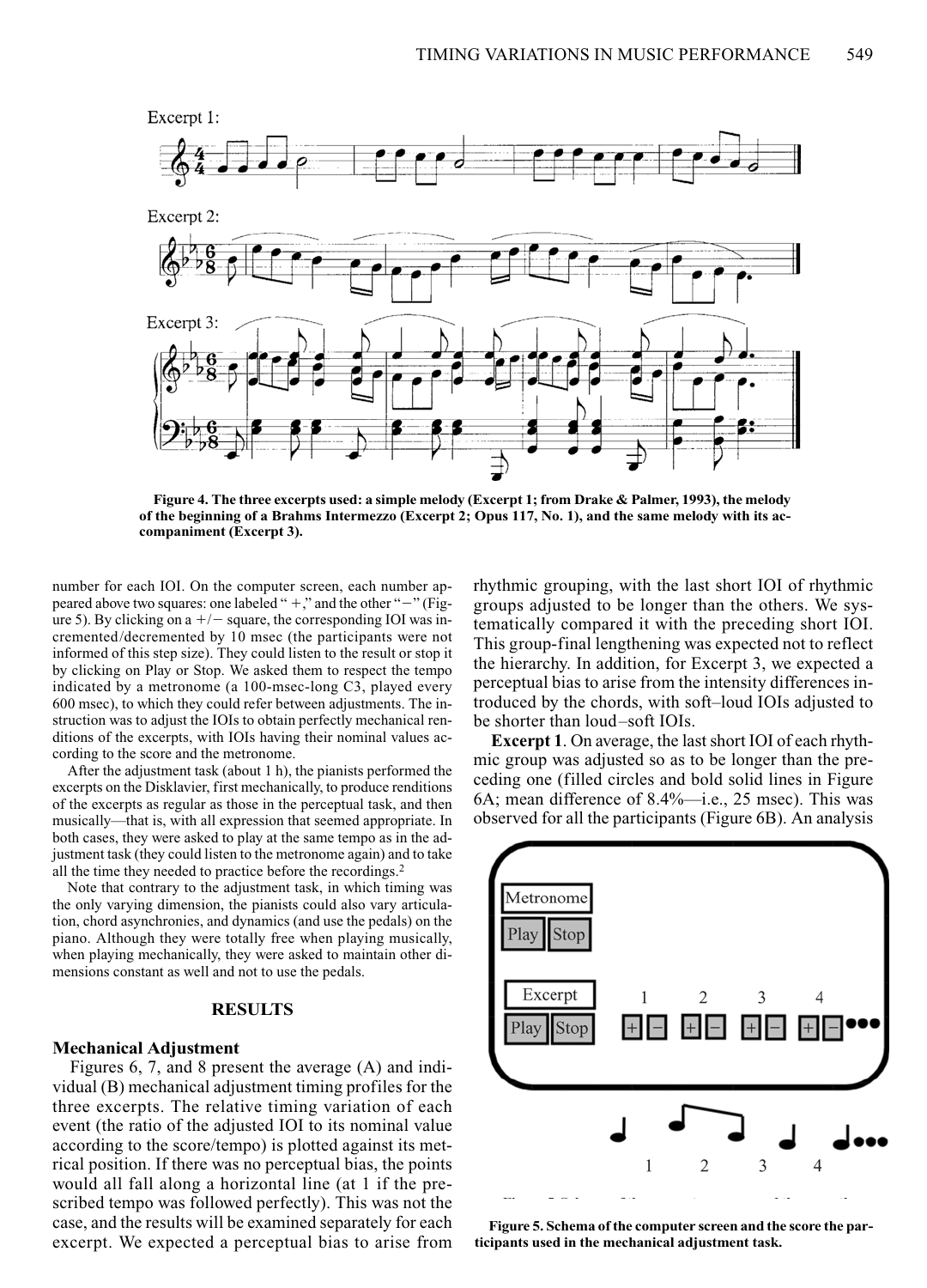

**Figure 4. The three excerpts used: a simple melody (Excerpt 1; from Drake & Palmer, 1993), the melody of the beginning of a Brahms Intermezzo (Excerpt 2; Opus 117, No. 1), and the same melody with its accompaniment (Excerpt 3).**

number for each IOI. On the computer screen, each number appeared above two squares: one labeled " +," and the other "-" (Figure 5). By clicking on a  $+/-$  square, the corresponding IOI was incremented/decremented by 10 msec (the participants were not informed of this step size). They could listen to the result or stop it by clicking on Play or Stop. We asked them to respect the tempo indicated by a metronome (a 100-msec-long C3, played every 600 msec), to which they could refer between adjustments. The instruction was to adjust the IOIs to obtain perfectly mechanical renditions of the excerpts, with IOIs having their nominal values according to the score and the metronome.

After the adjustment task (about 1 h), the pianists performed the excerpts on the Disklavier, first mechanically, to produce renditions of the excerpts as regular as those in the perceptual task, and then musically—that is, with all expression that seemed appropriate. In both cases, they were asked to play at the same tempo as in the adjustment task (they could listen to the metronome again) and to take all the time they needed to practice before the recordings.2

Note that contrary to the adjustment task, in which timing was the only varying dimension, the pianists could also vary articulation, chord asynchronies, and dynamics (and use the pedals) on the piano. Although they were totally free when playing musically, when playing mechanically, they were asked to maintain other dimensions constant as well and not to use the pedals.

# **RESULTS**

## **Mechanical Adjustment**

Figures 6, 7, and 8 present the average (A) and individual (B) mechanical adjustment timing profiles for the three excerpts. The relative timing variation of each event (the ratio of the adjusted IOI to its nominal value according to the score/tempo) is plotted against its metrical position. If there was no perceptual bias, the points would all fall along a horizontal line (at 1 if the prescribed tempo was followed perfectly). This was not the case, and the results will be examined separately for each excerpt. We expected a perceptual bias to arise from rhythmic grouping, with the last short IOI of rhythmic groups adjusted to be longer than the others. We systematically compared it with the preceding short IOI. This group-final lengthening was expected not to reflect the hierarchy. In addition, for Excerpt 3, we expected a perceptual bias to arise from the intensity differences introduced by the chords, with soft–loud IOIs adjusted to be shorter than loud–soft IOIs.

**Excerpt 1**. On average, the last short IOI of each rhythmic group was adjusted so as to be longer than the preceding one (filled circles and bold solid lines in Figure 6A; mean difference of 8.4%—i.e., 25 msec). This was observed for all the participants (Figure 6B). An analysis



**Figure 5. Schema of the computer screen and the score the participants used in the mechanical adjustment task.**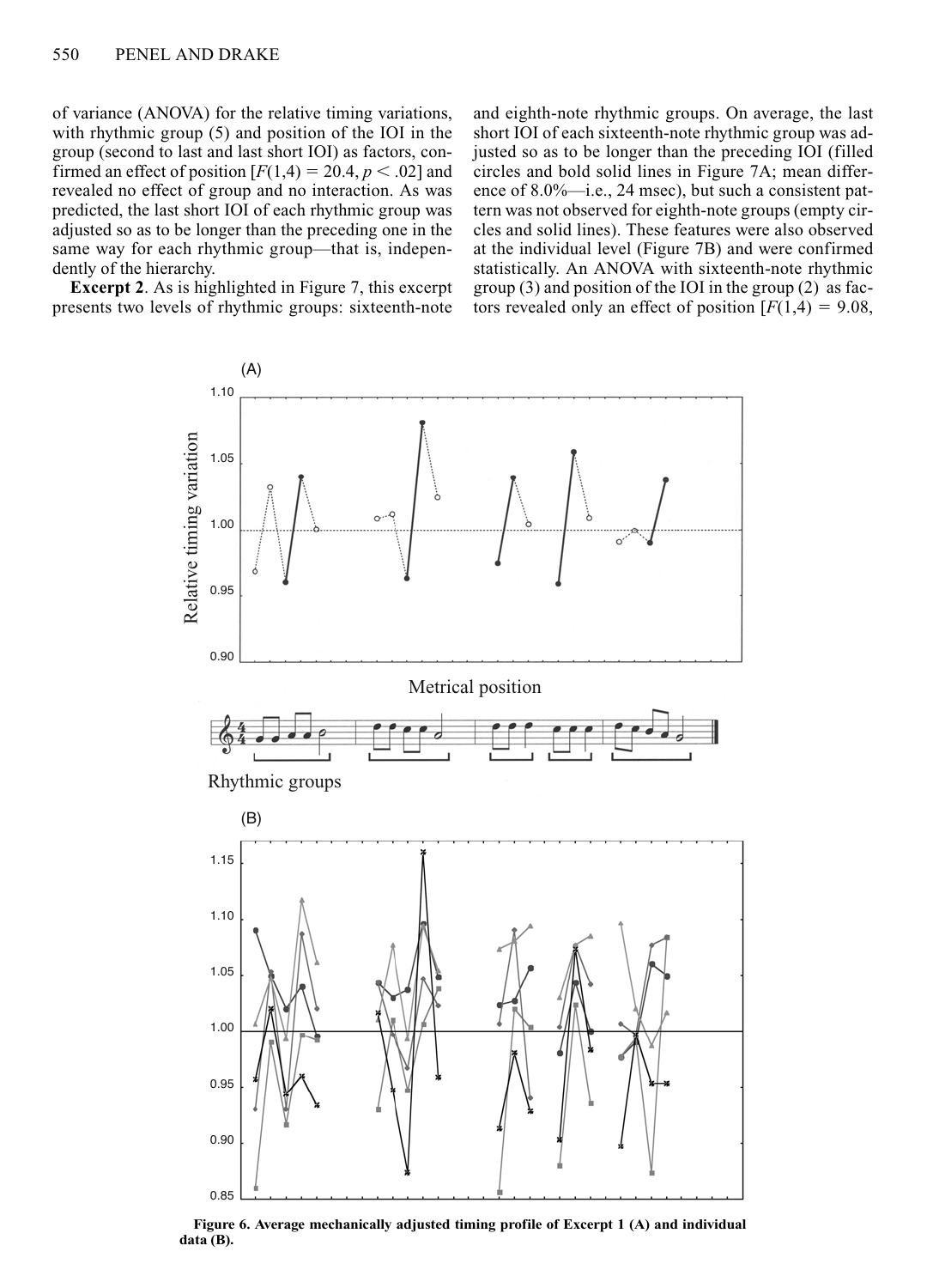of variance (ANOVA) for the relative timing variations, with rhythmic group (5) and position of the IOI in the group (second to last and last short IOI) as factors, confirmed an effect of position  $[F(1,4) = 20.4, p < .02]$  and revealed no effect of group and no interaction. As was predicted, the last short IOI of each rhythmic group was adjusted so as to be longer than the preceding one in the same way for each rhythmic group—that is, independently of the hierarchy.

**Excerpt 2**. As is highlighted in Figure 7, this excerpt presents two levels of rhythmic groups: sixteenth-note and eighth-note rhythmic groups. On average, the last short IOI of each sixteenth-note rhythmic group was adjusted so as to be longer than the preceding IOI (filled circles and bold solid lines in Figure 7A; mean difference of 8.0%—i.e., 24 msec), but such a consistent pattern was not observed for eighth-note groups (empty circles and solid lines). These features were also observed at the individual level (Figure 7B) and were confirmed statistically. An ANOVA with sixteenth-note rhythmic group (3) and position of the IOI in the group (2) as factors revealed only an effect of position  $[F(1,4) = 9.08]$ ,



**Figure 6. Average mechanically adjusted timing profile of Excerpt 1 (A) and individual data (B).**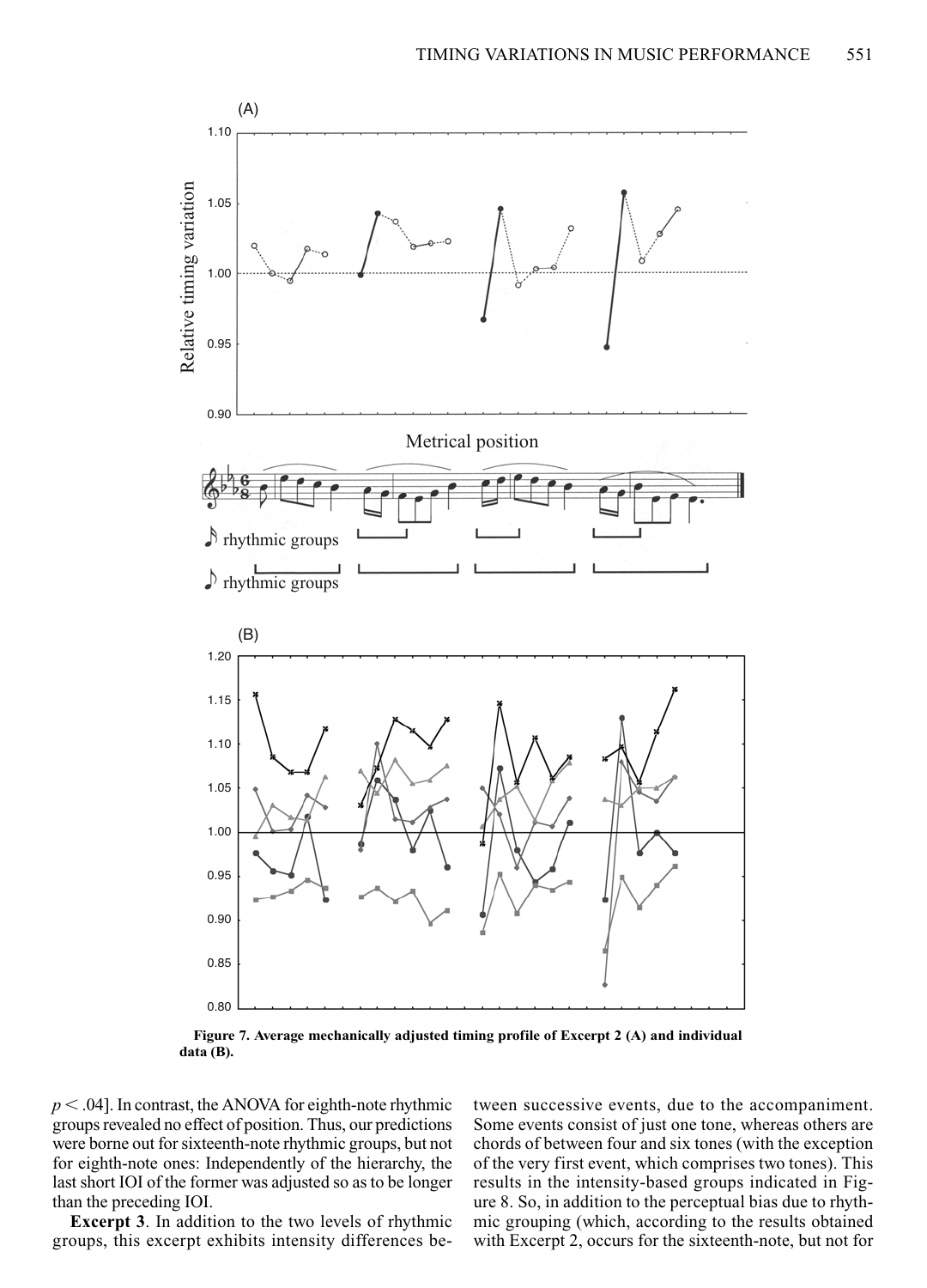

**Figure 7. Average mechanically adjusted timing profile of Excerpt 2 (A) and individual data (B).**

 $p < .04$ . In contrast, the ANOVA for eighth-note rhythmic groups revealed no effect of position. Thus, our predictions were borne out for sixteenth-note rhythmic groups, but not for eighth-note ones: Independently of the hierarchy, the last short IOI of the former was adjusted so as to be longer than the preceding IOI.

**Excerpt 3**. In addition to the two levels of rhythmic groups, this excerpt exhibits intensity differences between successive events, due to the accompaniment. Some events consist of just one tone, whereas others are chords of between four and six tones (with the exception of the very first event, which comprises two tones). This results in the intensity-based groups indicated in Figure 8. So, in addition to the perceptual bias due to rhythmic grouping (which, according to the results obtained with Excerpt 2, occurs for the sixteenth-note, but not for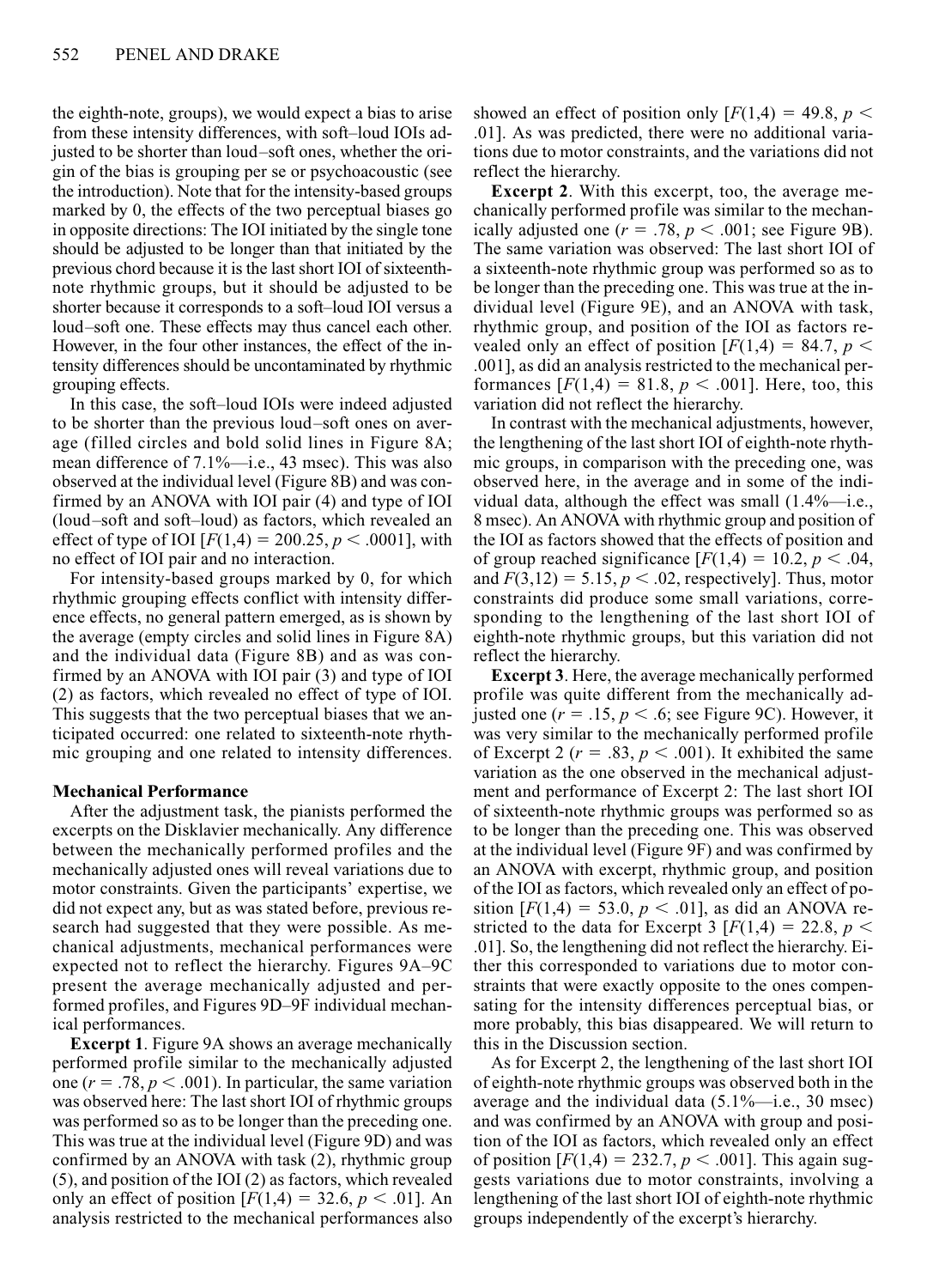the eighth-note, groups), we would expect a bias to arise from these intensity differences, with soft–loud IOIs adjusted to be shorter than loud–soft ones, whether the origin of the bias is grouping per se or psychoacoustic (see the introduction). Note that for the intensity-based groups marked by 0, the effects of the two perceptual biases go in opposite directions: The IOI initiated by the single tone should be adjusted to be longer than that initiated by the previous chord because it is the last short IOI of sixteenthnote rhythmic groups, but it should be adjusted to be shorter because it corresponds to a soft–loud IOI versus a loud–soft one. These effects may thus cancel each other. However, in the four other instances, the effect of the intensity differences should be uncontaminated by rhythmic grouping effects.

In this case, the soft–loud IOIs were indeed adjusted to be shorter than the previous loud–soft ones on average (filled circles and bold solid lines in Figure 8A; mean difference of 7.1%—i.e., 43 msec). This was also observed at the individual level (Figure 8B) and was confirmed by an ANOVA with IOI pair (4) and type of IOI (loud–soft and soft–loud) as factors, which revealed an effect of type of IOI  $[F(1,4) = 200.25, p < .0001]$ , with no effect of IOI pair and no interaction.

For intensity-based groups marked by 0, for which rhythmic grouping effects conflict with intensity difference effects, no general pattern emerged, as is shown by the average (empty circles and solid lines in Figure 8A) and the individual data (Figure 8B) and as was confirmed by an ANOVA with IOI pair (3) and type of IOI (2) as factors, which revealed no effect of type of IOI. This suggests that the two perceptual biases that we anticipated occurred: one related to sixteenth-note rhythmic grouping and one related to intensity differences.

## **Mechanical Performance**

After the adjustment task, the pianists performed the excerpts on the Disklavier mechanically. Any difference between the mechanically performed profiles and the mechanically adjusted ones will reveal variations due to motor constraints. Given the participants' expertise, we did not expect any, but as was stated before, previous research had suggested that they were possible. As mechanical adjustments, mechanical performances were expected not to reflect the hierarchy. Figures 9A–9C present the average mechanically adjusted and performed profiles, and Figures 9D–9F individual mechanical performances.

**Excerpt 1**. Figure 9A shows an average mechanically performed profile similar to the mechanically adjusted one ( $r = .78$ ,  $p < .001$ ). In particular, the same variation was observed here: The last short IOI of rhythmic groups was performed so as to be longer than the preceding one. This was true at the individual level (Figure 9D) and was confirmed by an ANOVA with task (2), rhythmic group (5), and position of the IOI (2) as factors, which revealed only an effect of position  $[F(1,4) = 32.6, p < .01]$ . An analysis restricted to the mechanical performances also showed an effect of position only  $[F(1,4) = 49.8, p <$ .01]. As was predicted, there were no additional variations due to motor constraints, and the variations did not reflect the hierarchy.

**Excerpt 2**. With this excerpt, too, the average mechanically performed profile was similar to the mechanically adjusted one  $(r = .78, p < .001$ ; see Figure 9B). The same variation was observed: The last short IOI of a sixteenth-note rhythmic group was performed so as to be longer than the preceding one. This was true at the individual level (Figure 9E), and an ANOVA with task, rhythmic group, and position of the IOI as factors revealed only an effect of position  $[F(1,4) = 84.7, p <$ .001], as did an analysis restricted to the mechanical performances  $[F(1,4) = 81.8, p < .001]$ . Here, too, this variation did not reflect the hierarchy.

In contrast with the mechanical adjustments, however, the lengthening of the last short IOI of eighth-note rhythmic groups, in comparison with the preceding one, was observed here, in the average and in some of the individual data, although the effect was small (1.4%—i.e., 8 msec). An ANOVA with rhythmic group and position of the IOI as factors showed that the effects of position and of group reached significance  $[F(1,4) = 10.2, p < .04,$ and  $F(3,12) = 5.15$ ,  $p < .02$ , respectively]. Thus, motor constraints did produce some small variations, corresponding to the lengthening of the last short IOI of eighth-note rhythmic groups, but this variation did not reflect the hierarchy.

**Excerpt 3**. Here, the average mechanically performed profile was quite different from the mechanically adjusted one  $(r = .15, p < .6$ ; see Figure 9C). However, it was very similar to the mechanically performed profile of Excerpt 2 ( $r = .83$ ,  $p < .001$ ). It exhibited the same variation as the one observed in the mechanical adjustment and performance of Excerpt 2: The last short IOI of sixteenth-note rhythmic groups was performed so as to be longer than the preceding one. This was observed at the individual level (Figure 9F) and was confirmed by an ANOVA with excerpt, rhythmic group, and position of the IOI as factors, which revealed only an effect of position  $[F(1,4) = 53.0, p < .01]$ , as did an ANOVA restricted to the data for Excerpt 3  $[F(1,4) = 22.8, p <$ .01]. So, the lengthening did not reflect the hierarchy. Either this corresponded to variations due to motor constraints that were exactly opposite to the ones compensating for the intensity differences perceptual bias, or more probably, this bias disappeared. We will return to this in the Discussion section.

As for Excerpt 2, the lengthening of the last short IOI of eighth-note rhythmic groups was observed both in the average and the individual data (5.1%—i.e., 30 msec) and was confirmed by an ANOVA with group and position of the IOI as factors, which revealed only an effect of position  $[F(1,4) = 232.7, p < .001]$ . This again suggests variations due to motor constraints, involving a lengthening of the last short IOI of eighth-note rhythmic groups independently of the excerpt's hierarchy.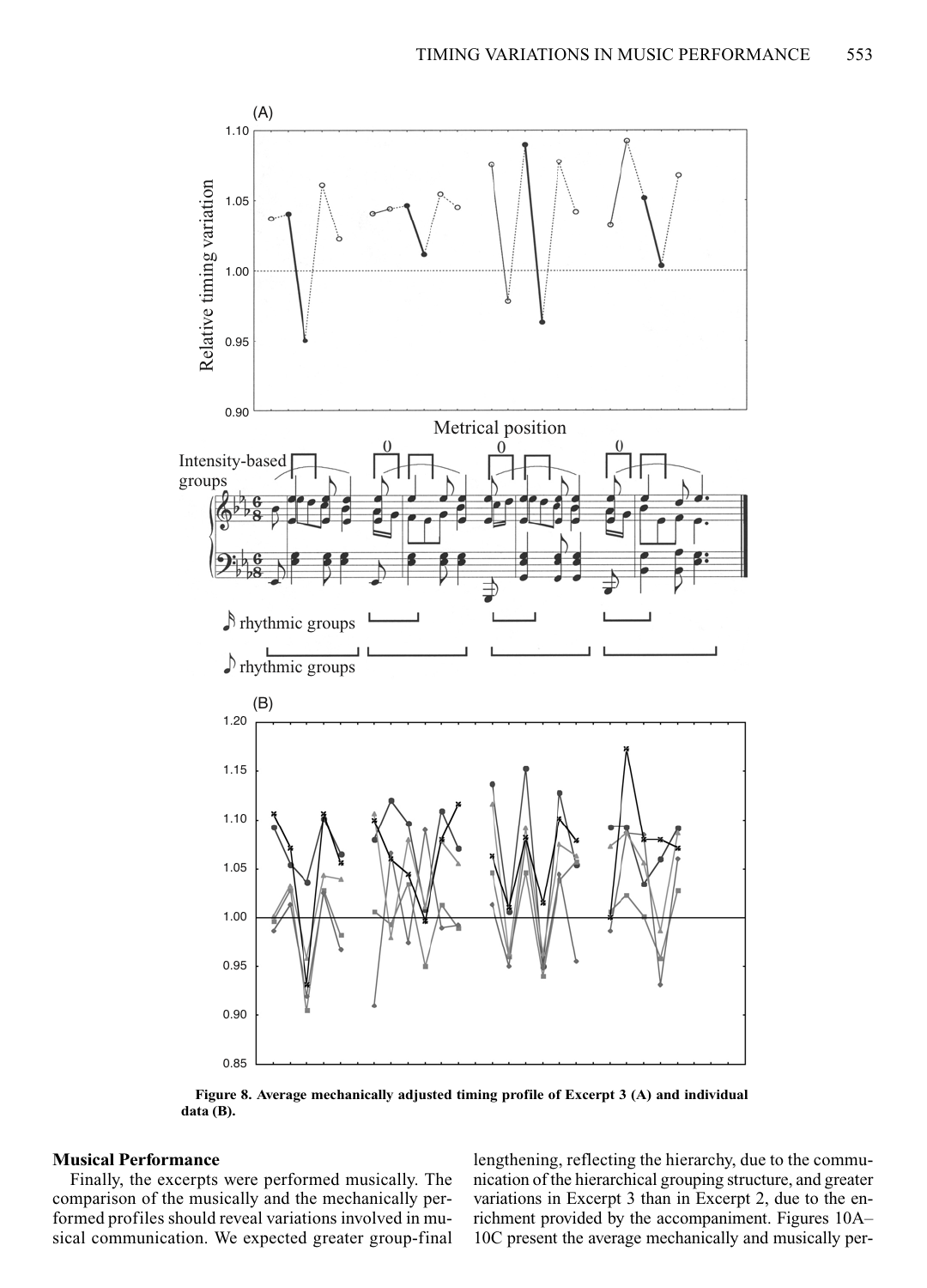

**Figure 8. Average mechanically adjusted timing profile of Excerpt 3 (A) and individual data (B).**

# **Musical Performance**

Finally, the excerpts were performed musically. The comparison of the musically and the mechanically performed profiles should reveal variations involved in musical communication. We expected greater group-final lengthening, reflecting the hierarchy, due to the communication of the hierarchical grouping structure, and greater variations in Excerpt 3 than in Excerpt 2, due to the enrichment provided by the accompaniment. Figures 10A– 10C present the average mechanically and musically per-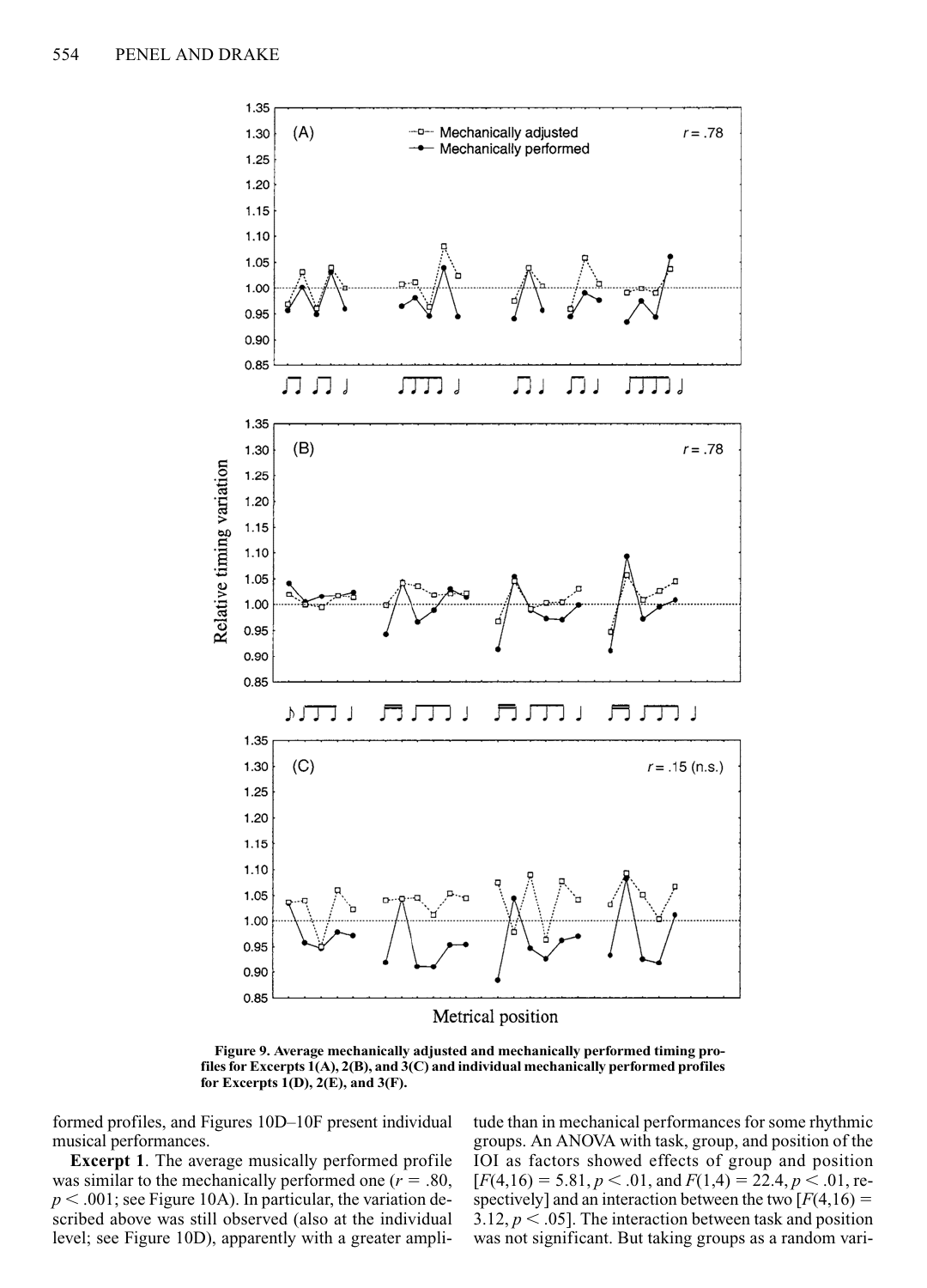

**Figure 9. Average mechanically adjusted and mechanically performed timing profiles for Excerpts 1(A), 2(B), and 3(C) and individual mechanically performed profiles for Excerpts 1(D), 2(E), and 3(F).**

formed profiles, and Figures 10D–10F present individual musical performances.

**Excerpt 1**. The average musically performed profile was similar to the mechanically performed one  $(r = .80, )$  $p < .001$ ; see Figure 10A). In particular, the variation described above was still observed (also at the individual level; see Figure 10D), apparently with a greater amplitude than in mechanical performances for some rhythmic groups. An ANOVA with task, group, and position of the IOI as factors showed effects of group and position  $[F(4,16) = 5.81, p < .01,$  and  $F(1,4) = 22.4, p < .01,$  respectively] and an interaction between the two  $F(4,16) =$ 3.12,  $p < .05$ ]. The interaction between task and position was not significant. But taking groups as a random vari-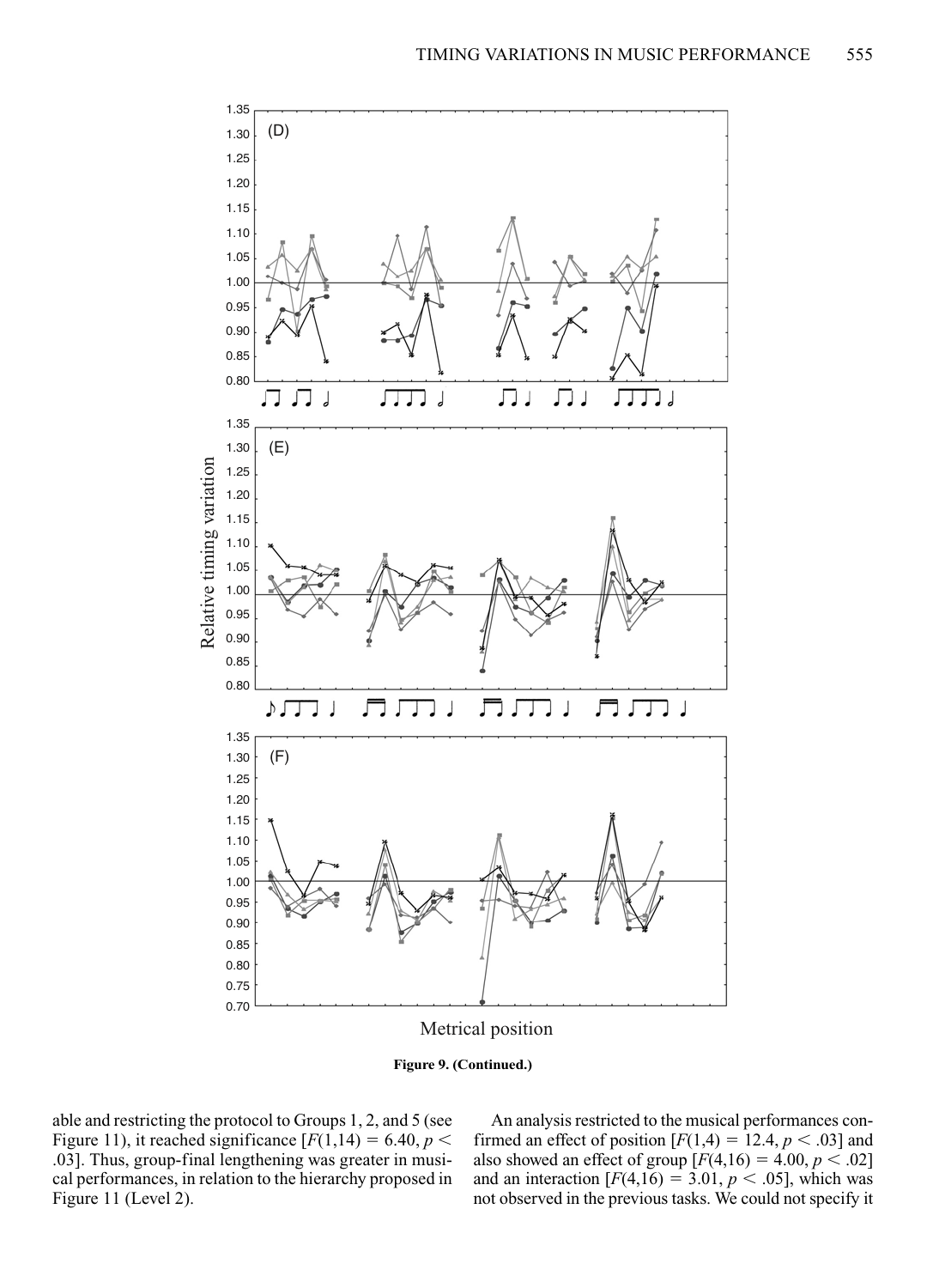

able and restricting the protocol to Groups 1, 2, and 5 (see Figure 11), it reached significance  $[F(1,14) = 6.40, p <$ .03]. Thus, group-final lengthening was greater in musical performances, in relation to the hierarchy proposed in Figure 11 (Level 2).

An analysis restricted to the musical performances confirmed an effect of position  $[F(1,4) = 12.4, p < .03]$  and also showed an effect of group  $[F(4,16) = 4.00, p < .02]$ and an interaction  $[F(4,16) = 3.01, p < .05]$ , which was not observed in the previous tasks. We could not specify it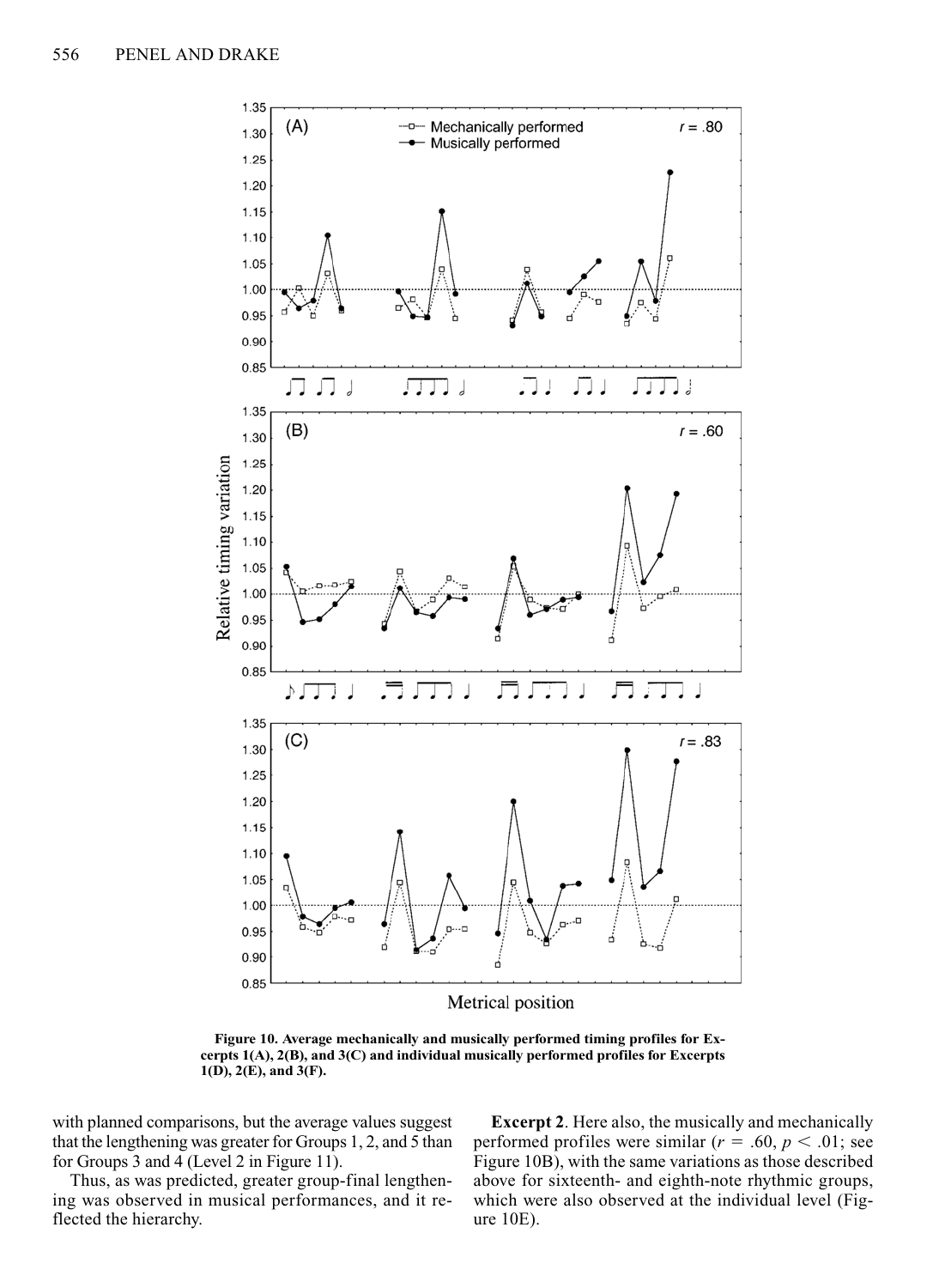

**Figure 10. Average mechanically and musically performed timing profiles for Excerpts 1(A), 2(B), and 3(C) and individual musically performed profiles for Excerpts 1(D), 2(E), and 3(F).**

with planned comparisons, but the average values suggest that the lengthening was greater for Groups 1, 2, and 5 than for Groups 3 and 4 (Level 2 in Figure 11).

Thus, as was predicted, greater group-final lengthening was observed in musical performances, and it reflected the hierarchy.

**Excerpt 2**. Here also, the musically and mechanically performed profiles were similar ( $r = .60$ ,  $p < .01$ ; see Figure 10B), with the same variations as those described above for sixteenth- and eighth-note rhythmic groups, which were also observed at the individual level (Figure 10E).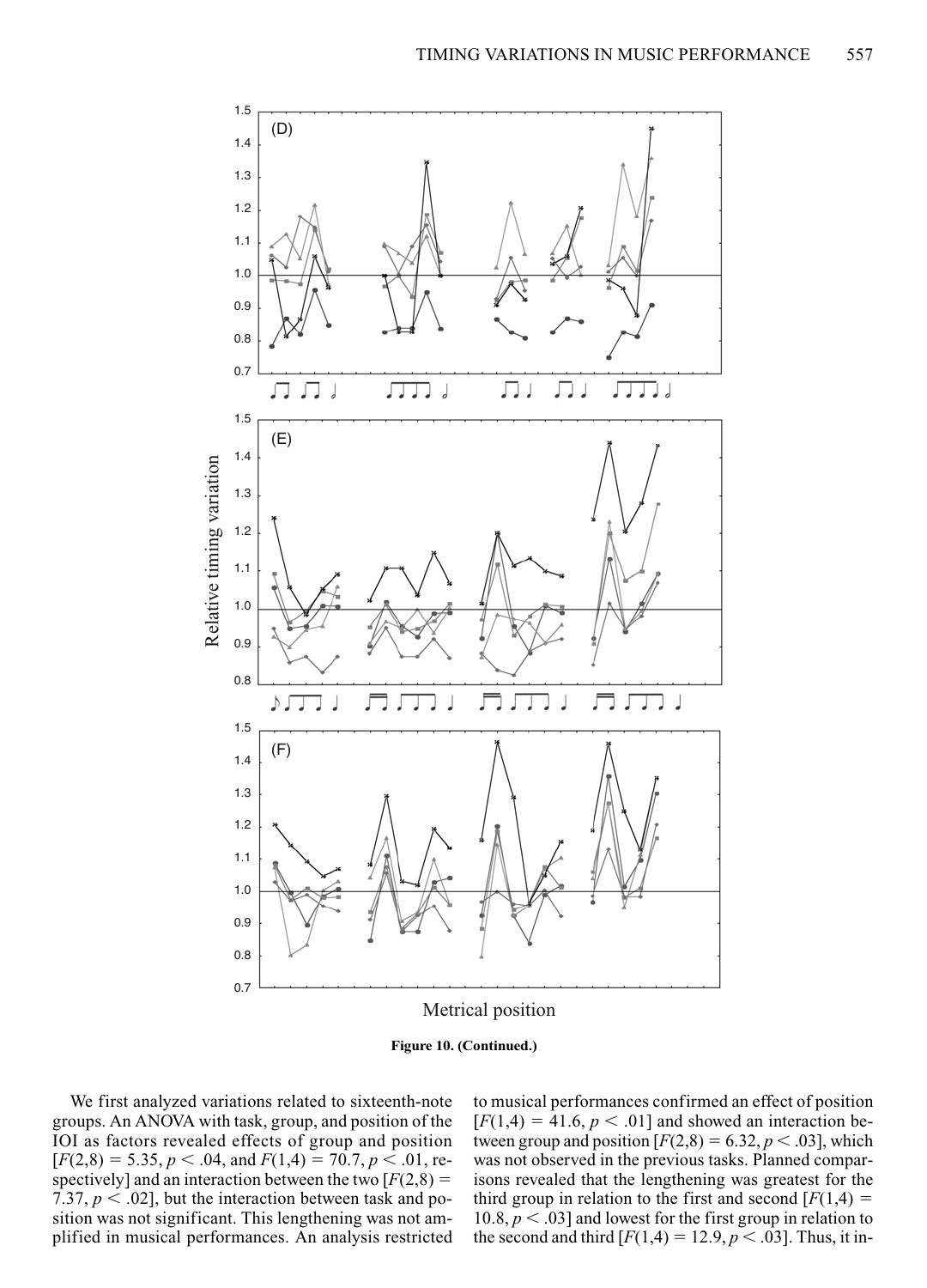



We first analyzed variations related to sixteenth-note groups. An ANOVA with task, group, and position of the IOI as factors revealed effects of group and position  $[F(2,8) = 5.35, p < .04,$  and  $F(1,4) = 70.7, p < .01,$  respectively] and an interaction between the two  $F(2,8) =$ 7.37,  $p < .02$ ], but the interaction between task and position was not significant. This lengthening was not amplified in musical performances. An analysis restricted to musical performances confirmed an effect of position  $[F(1,4) = 41.6, p < .01]$  and showed an interaction between group and position  $[F(2,8) = 6.32, p < .03]$ , which was not observed in the previous tasks. Planned comparisons revealed that the lengthening was greatest for the third group in relation to the first and second  $[F(1,4) =$ 10.8,  $p < .03$ ] and lowest for the first group in relation to the second and third  $[F(1,4) = 12.9, p < .03]$ . Thus, it in-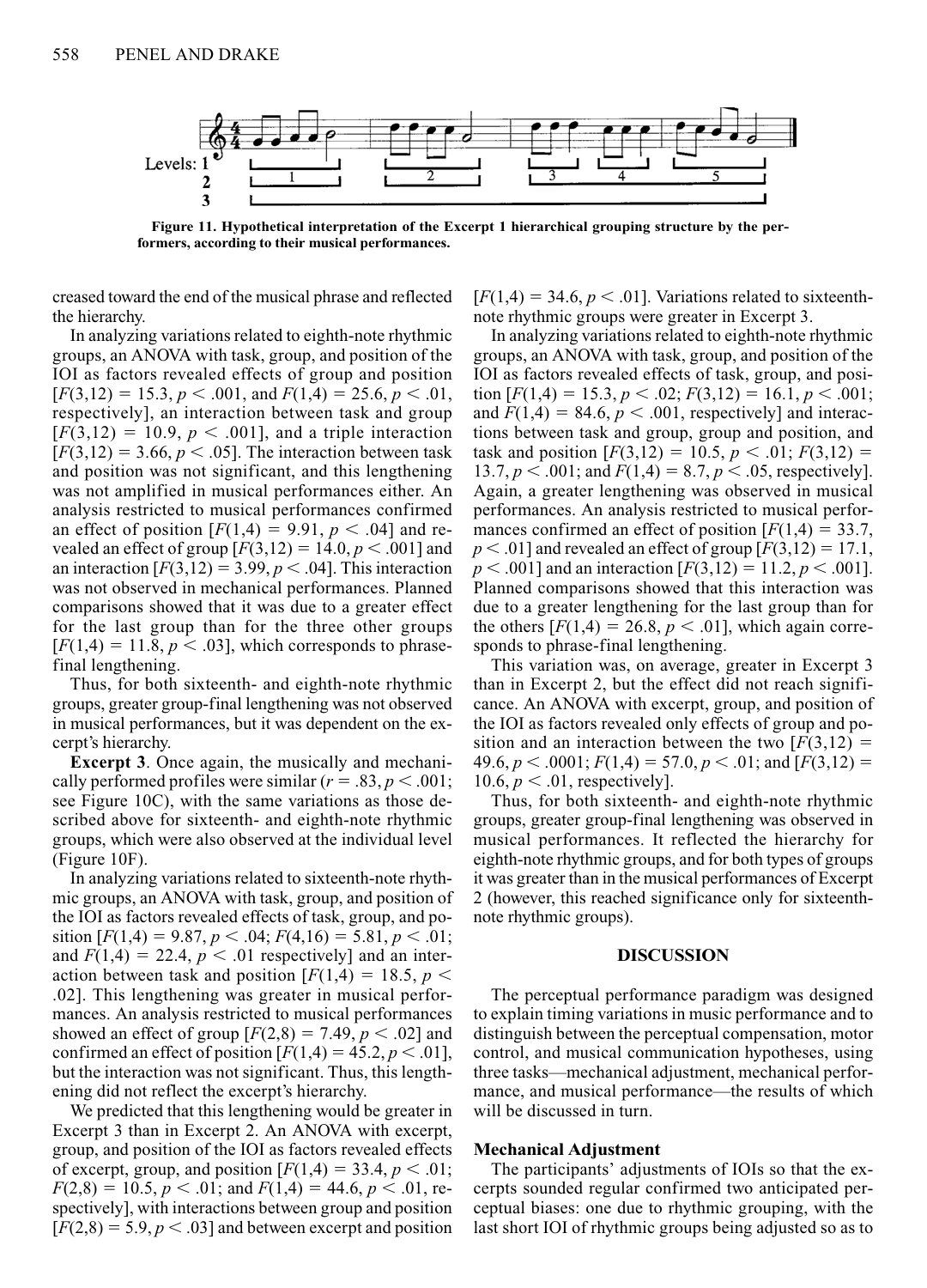

**Figure 11. Hypothetical interpretation of the Excerpt 1 hierarchical grouping structure by the performers, according to their musical performances.**

creased toward the end of the musical phrase and reflected the hierarchy.

In analyzing variations related to eighth-note rhythmic groups, an ANOVA with task, group, and position of the IOI as factors revealed effects of group and position  $[F(3,12) = 15.3, p < .001, \text{ and } F(1,4) = 25.6, p < .01,$ respectively], an interaction between task and group  $[F(3,12) = 10.9, p < .001]$ , and a triple interaction  $[F(3,12) = 3.66, p < .05]$ . The interaction between task and position was not significant, and this lengthening was not amplified in musical performances either. An analysis restricted to musical performances confirmed an effect of position  $[F(1,4) = 9.91, p < .04]$  and revealed an effect of group  $[F(3,12) = 14.0, p < .001]$  and an interaction  $[F(3,12) = 3.99, p < .04]$ . This interaction was not observed in mechanical performances. Planned comparisons showed that it was due to a greater effect for the last group than for the three other groups  $[F(1,4) = 11.8, p < .03]$ , which corresponds to phrasefinal lengthening.

Thus, for both sixteenth- and eighth-note rhythmic groups, greater group-final lengthening was not observed in musical performances, but it was dependent on the excerpt's hierarchy.

**Excerpt 3**. Once again, the musically and mechanically performed profiles were similar  $(r = .83, p < .001;$ see Figure 10C), with the same variations as those described above for sixteenth- and eighth-note rhythmic groups, which were also observed at the individual level (Figure 10F).

In analyzing variations related to sixteenth-note rhythmic groups, an ANOVA with task, group, and position of the IOI as factors revealed effects of task, group, and position  $[F(1,4) = 9.87, p < .04; F(4,16) = 5.81, p < .01;$ and  $F(1,4) = 22.4$ ,  $p < .01$  respectively] and an interaction between task and position  $[F(1,4) = 18.5, p <$ .02]. This lengthening was greater in musical performances. An analysis restricted to musical performances showed an effect of group  $[F(2,8) = 7.49, p < .02]$  and confirmed an effect of position  $[F(1,4) = 45.2, p < .01]$ , but the interaction was not significant. Thus, this lengthening did not reflect the excerpt's hierarchy.

We predicted that this lengthening would be greater in Excerpt 3 than in Excerpt 2. An ANOVA with excerpt, group, and position of the IOI as factors revealed effects of excerpt, group, and position  $[F(1,4) = 33.4, p < .01;$  $F(2,8) = 10.5, p < .01$ ; and  $F(1,4) = 44.6, p < .01$ , respectively], with interactions between group and position  $[F(2,8) = 5.9, p < .03]$  and between excerpt and position  $[F(1,4) = 34.6, p < .01]$ . Variations related to sixteenthnote rhythmic groups were greater in Excerpt 3.

In analyzing variations related to eighth-note rhythmic groups, an ANOVA with task, group, and position of the IOI as factors revealed effects of task, group, and position  $[F(1,4) = 15.3, p < .02; F(3,12) = 16.1, p < .001;$ and  $F(1,4) = 84.6$ ,  $p < .001$ , respectively] and interactions between task and group, group and position, and task and position  $[F(3,12) = 10.5, p < .01; F(3,12) =$ 13.7,  $p < .001$ ; and  $F(1,4) = 8.7$ ,  $p < .05$ , respectively]. Again, a greater lengthening was observed in musical performances. An analysis restricted to musical performances confirmed an effect of position  $[F(1,4) = 33.7]$ ,  $p < .01$ ] and revealed an effect of group  $[F(3,12) = 17.1]$ ,  $p < .001$ ] and an interaction  $[F(3,12) = 11.2, p < .001]$ . Planned comparisons showed that this interaction was due to a greater lengthening for the last group than for the others  $[F(1,4) = 26.8, p < .01]$ , which again corresponds to phrase-final lengthening.

This variation was, on average, greater in Excerpt 3 than in Excerpt 2, but the effect did not reach significance. An ANOVA with excerpt, group, and position of the IOI as factors revealed only effects of group and position and an interaction between the two  $[F(3,12) =$  $49.6, p < .0001; F(1,4) = 57.0, p < .01;$  and  $[F(3,12) =$ 10.6,  $p < .01$ , respectively].

Thus, for both sixteenth- and eighth-note rhythmic groups, greater group-final lengthening was observed in musical performances. It reflected the hierarchy for eighth-note rhythmic groups, and for both types of groups it was greater than in the musical performances of Excerpt 2 (however, this reached significance only for sixteenthnote rhythmic groups).

#### **DISCUSSION**

The perceptual performance paradigm was designed to explain timing variations in music performance and to distinguish between the perceptual compensation, motor control, and musical communication hypotheses, using three tasks—mechanical adjustment, mechanical performance, and musical performance—the results of which will be discussed in turn.

### **Mechanical Adjustment**

The participants' adjustments of IOIs so that the excerpts sounded regular confirmed two anticipated perceptual biases: one due to rhythmic grouping, with the last short IOI of rhythmic groups being adjusted so as to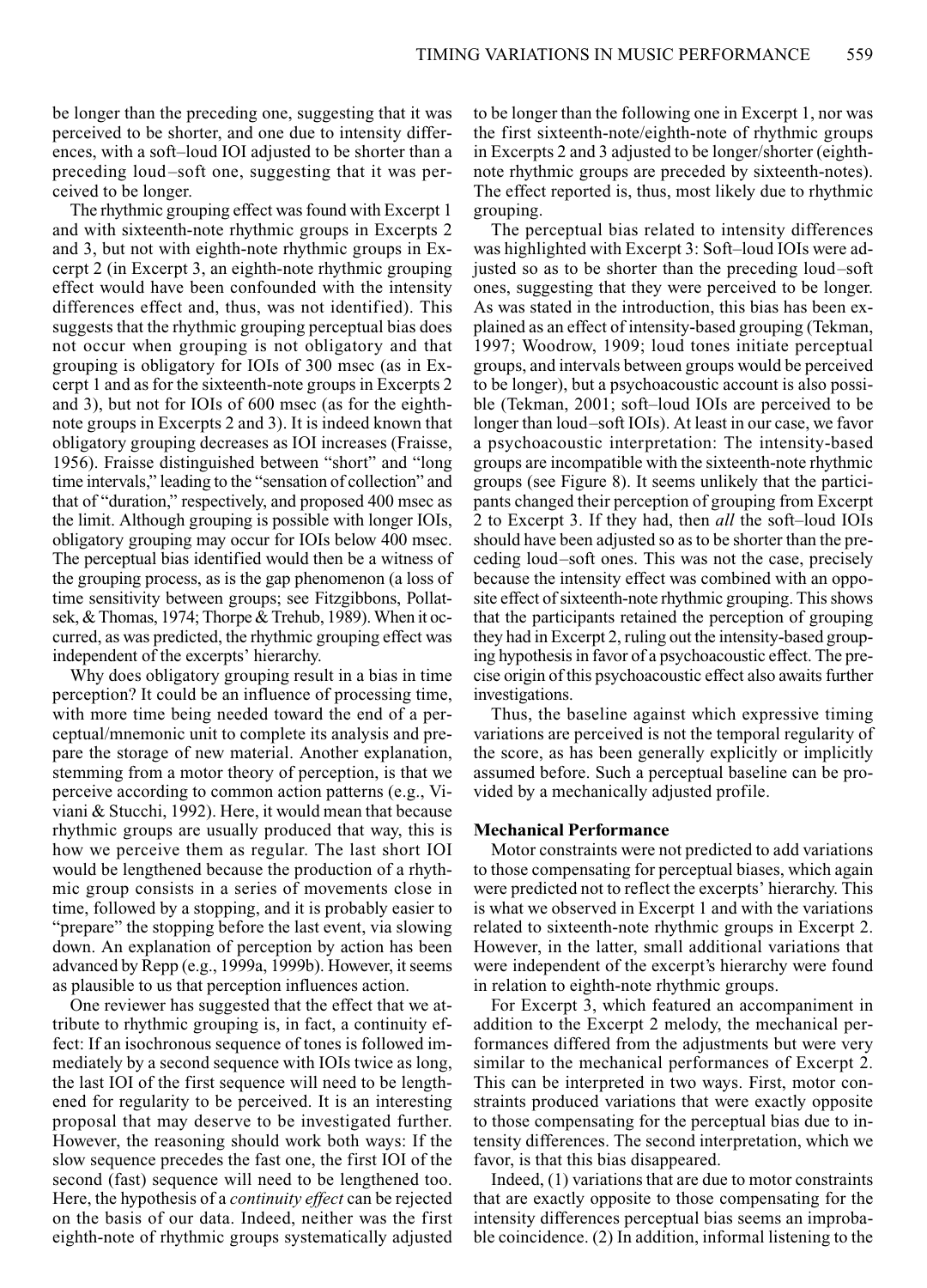be longer than the preceding one, suggesting that it was perceived to be shorter, and one due to intensity differences, with a soft–loud IOI adjusted to be shorter than a preceding loud –soft one, suggesting that it was perceived to be longer.

The rhythmic grouping effect was found with Excerpt 1 and with sixteenth-note rhythmic groups in Excerpts 2 and 3, but not with eighth-note rhythmic groups in Excerpt 2 (in Excerpt 3, an eighth-note rhythmic grouping effect would have been confounded with the intensity differences effect and, thus, was not identified). This suggests that the rhythmic grouping perceptual bias does not occur when grouping is not obligatory and that grouping is obligatory for IOIs of 300 msec (as in Excerpt 1 and as for the sixteenth-note groups in Excerpts 2 and 3), but not for IOIs of 600 msec (as for the eighthnote groups in Excerpts 2 and 3). It is indeed known that obligatory grouping decreases as IOI increases (Fraisse, 1956). Fraisse distinguished between "short" and "long time intervals," leading to the "sensation of collection" and that of "duration," respectively, and proposed 400 msec as the limit. Although grouping is possible with longer IOIs, obligatory grouping may occur for IOIs below 400 msec. The perceptual bias identified would then be a witness of the grouping process, as is the gap phenomenon (a loss of time sensitivity between groups; see Fitzgibbons, Pollatsek, & Thomas, 1974; Thorpe & Trehub, 1989). When it occurred, as was predicted, the rhythmic grouping effect was independent of the excerpts' hierarchy.

Why does obligatory grouping result in a bias in time perception? It could be an influence of processing time, with more time being needed toward the end of a perceptual/mnemonic unit to complete its analysis and prepare the storage of new material. Another explanation, stemming from a motor theory of perception, is that we perceive according to common action patterns (e.g., Viviani & Stucchi, 1992). Here, it would mean that because rhythmic groups are usually produced that way, this is how we perceive them as regular. The last short IOI would be lengthened because the production of a rhythmic group consists in a series of movements close in time, followed by a stopping, and it is probably easier to "prepare" the stopping before the last event, via slowing down. An explanation of perception by action has been advanced by Repp (e.g., 1999a, 1999b). However, it seems as plausible to us that perception influences action.

One reviewer has suggested that the effect that we attribute to rhythmic grouping is, in fact, a continuity effect: If an isochronous sequence of tones is followed immediately by a second sequence with IOIs twice as long, the last IOI of the first sequence will need to be lengthened for regularity to be perceived. It is an interesting proposal that may deserve to be investigated further. However, the reasoning should work both ways: If the slow sequence precedes the fast one, the first IOI of the second (fast) sequence will need to be lengthened too. Here, the hypothesis of a *continuity effect* can be rejected on the basis of our data. Indeed, neither was the first eighth-note of rhythmic groups systematically adjusted to be longer than the following one in Excerpt 1, nor was the first sixteenth-note/eighth-note of rhythmic groups in Excerpts 2 and 3 adjusted to be longer/shorter (eighthnote rhythmic groups are preceded by sixteenth-notes). The effect reported is, thus, most likely due to rhythmic grouping.

The perceptual bias related to intensity differences was highlighted with Excerpt 3: Soft–loud IOIs were adjusted so as to be shorter than the preceding loud–soft ones, suggesting that they were perceived to be longer. As was stated in the introduction, this bias has been explained as an effect of intensity-based grouping (Tekman, 1997; Woodrow, 1909; loud tones initiate perceptual groups, and intervals between groups would be perceived to be longer), but a psychoacoustic account is also possible (Tekman, 2001; soft–loud IOIs are perceived to be longer than loud–soft IOIs). At least in our case, we favor a psychoacoustic interpretation: The intensity-based groups are incompatible with the sixteenth-note rhythmic groups (see Figure 8). It seems unlikely that the participants changed their perception of grouping from Excerpt 2 to Excerpt 3. If they had, then *all* the soft–loud IOIs should have been adjusted so as to be shorter than the preceding loud–soft ones. This was not the case, precisely because the intensity effect was combined with an opposite effect of sixteenth-note rhythmic grouping. This shows that the participants retained the perception of grouping they had in Excerpt 2, ruling out the intensity-based grouping hypothesis in favor of a psychoacoustic effect. The precise origin of this psychoacoustic effect also awaits further investigations.

Thus, the baseline against which expressive timing variations are perceived is not the temporal regularity of the score, as has been generally explicitly or implicitly assumed before. Such a perceptual baseline can be provided by a mechanically adjusted profile.

## **Mechanical Performance**

Motor constraints were not predicted to add variations to those compensating for perceptual biases, which again were predicted not to reflect the excerpts' hierarchy. This is what we observed in Excerpt 1 and with the variations related to sixteenth-note rhythmic groups in Excerpt 2. However, in the latter, small additional variations that were independent of the excerpt's hierarchy were found in relation to eighth-note rhythmic groups.

For Excerpt 3, which featured an accompaniment in addition to the Excerpt 2 melody, the mechanical performances differed from the adjustments but were very similar to the mechanical performances of Excerpt 2. This can be interpreted in two ways. First, motor constraints produced variations that were exactly opposite to those compensating for the perceptual bias due to intensity differences. The second interpretation, which we favor, is that this bias disappeared.

Indeed, (1) variations that are due to motor constraints that are exactly opposite to those compensating for the intensity differences perceptual bias seems an improbable coincidence. (2) In addition, informal listening to the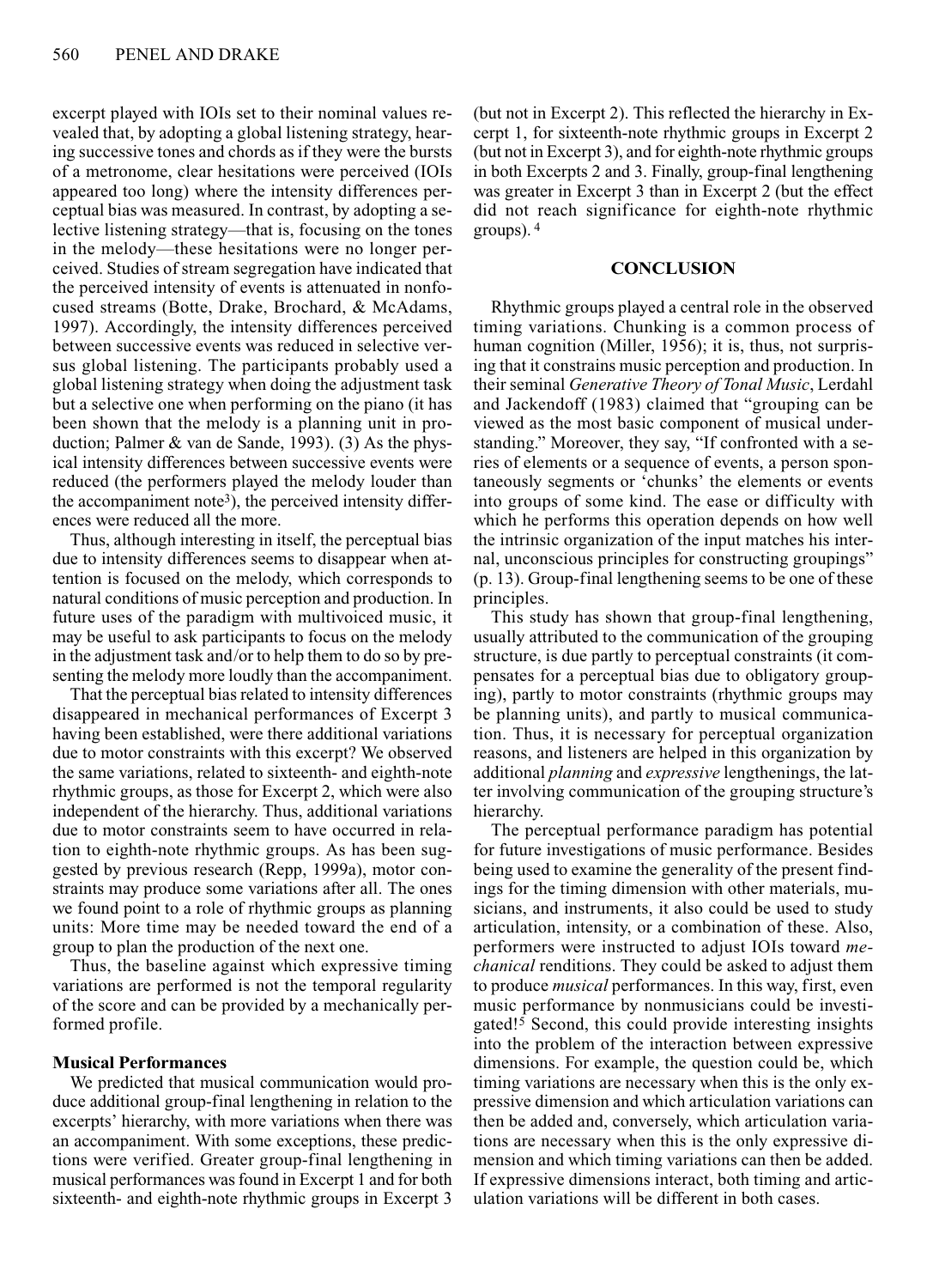excerpt played with IOIs set to their nominal values revealed that, by adopting a global listening strategy, hearing successive tones and chords as if they were the bursts of a metronome, clear hesitations were perceived (IOIs appeared too long) where the intensity differences perceptual bias was measured. In contrast, by adopting a selective listening strategy—that is, focusing on the tones in the melody—these hesitations were no longer perceived. Studies of stream segregation have indicated that the perceived intensity of events is attenuated in nonfocused streams (Botte, Drake, Brochard, & McAdams, 1997). Accordingly, the intensity differences perceived between successive events was reduced in selective versus global listening. The participants probably used a global listening strategy when doing the adjustment task but a selective one when performing on the piano (it has been shown that the melody is a planning unit in production; Palmer & van de Sande, 1993). (3) As the physical intensity differences between successive events were reduced (the performers played the melody louder than the accompaniment note<sup>3</sup>), the perceived intensity differences were reduced all the more.

Thus, although interesting in itself, the perceptual bias due to intensity differences seems to disappear when attention is focused on the melody, which corresponds to natural conditions of music perception and production. In future uses of the paradigm with multivoiced music, it may be useful to ask participants to focus on the melody in the adjustment task and/or to help them to do so by presenting the melody more loudly than the accompaniment.

That the perceptual bias related to intensity differences disappeared in mechanical performances of Excerpt 3 having been established, were there additional variations due to motor constraints with this excerpt? We observed the same variations, related to sixteenth- and eighth-note rhythmic groups, as those for Excerpt 2, which were also independent of the hierarchy. Thus, additional variations due to motor constraints seem to have occurred in relation to eighth-note rhythmic groups. As has been suggested by previous research (Repp, 1999a), motor constraints may produce some variations after all. The ones we found point to a role of rhythmic groups as planning units: More time may be needed toward the end of a group to plan the production of the next one.

Thus, the baseline against which expressive timing variations are performed is not the temporal regularity of the score and can be provided by a mechanically performed profile.

# **Musical Performances**

We predicted that musical communication would produce additional group-final lengthening in relation to the excerpts' hierarchy, with more variations when there was an accompaniment. With some exceptions, these predictions were verified. Greater group-final lengthening in musical performances was found in Excerpt 1 and for both sixteenth- and eighth-note rhythmic groups in Excerpt 3

(but not in Excerpt 2). This reflected the hierarchy in Excerpt 1, for sixteenth-note rhythmic groups in Excerpt 2 (but not in Excerpt 3), and for eighth-note rhythmic groups in both Excerpts 2 and 3. Finally, group-final lengthening was greater in Excerpt 3 than in Excerpt 2 (but the effect did not reach significance for eighth-note rhythmic groups). <sup>4</sup>

# **CONCLUSION**

Rhythmic groups played a central role in the observed timing variations. Chunking is a common process of human cognition (Miller, 1956); it is, thus, not surprising that it constrains music perception and production. In their seminal *Generative Theory of Tonal Music*, Lerdahl and Jackendoff (1983) claimed that "grouping can be viewed as the most basic component of musical understanding." Moreover, they say, "If confronted with a series of elements or a sequence of events, a person spontaneously segments or 'chunks' the elements or events into groups of some kind. The ease or difficulty with which he performs this operation depends on how well the intrinsic organization of the input matches his internal, unconscious principles for constructing groupings" (p. 13). Group-final lengthening seems to be one of these principles.

This study has shown that group-final lengthening, usually attributed to the communication of the grouping structure, is due partly to perceptual constraints (it compensates for a perceptual bias due to obligatory grouping), partly to motor constraints (rhythmic groups may be planning units), and partly to musical communication. Thus, it is necessary for perceptual organization reasons, and listeners are helped in this organization by additional *planning* and *expressive* lengthenings, the latter involving communication of the grouping structure's hierarchy.

The perceptual performance paradigm has potential for future investigations of music performance. Besides being used to examine the generality of the present findings for the timing dimension with other materials, musicians, and instruments, it also could be used to study articulation, intensity, or a combination of these. Also, performers were instructed to adjust IOIs toward *mechanical* renditions. They could be asked to adjust them to produce *musical* performances. In this way, first, even music performance by nonmusicians could be investigated!5 Second, this could provide interesting insights into the problem of the interaction between expressive dimensions. For example, the question could be, which timing variations are necessary when this is the only expressive dimension and which articulation variations can then be added and, conversely, which articulation variations are necessary when this is the only expressive dimension and which timing variations can then be added. If expressive dimensions interact, both timing and articulation variations will be different in both cases.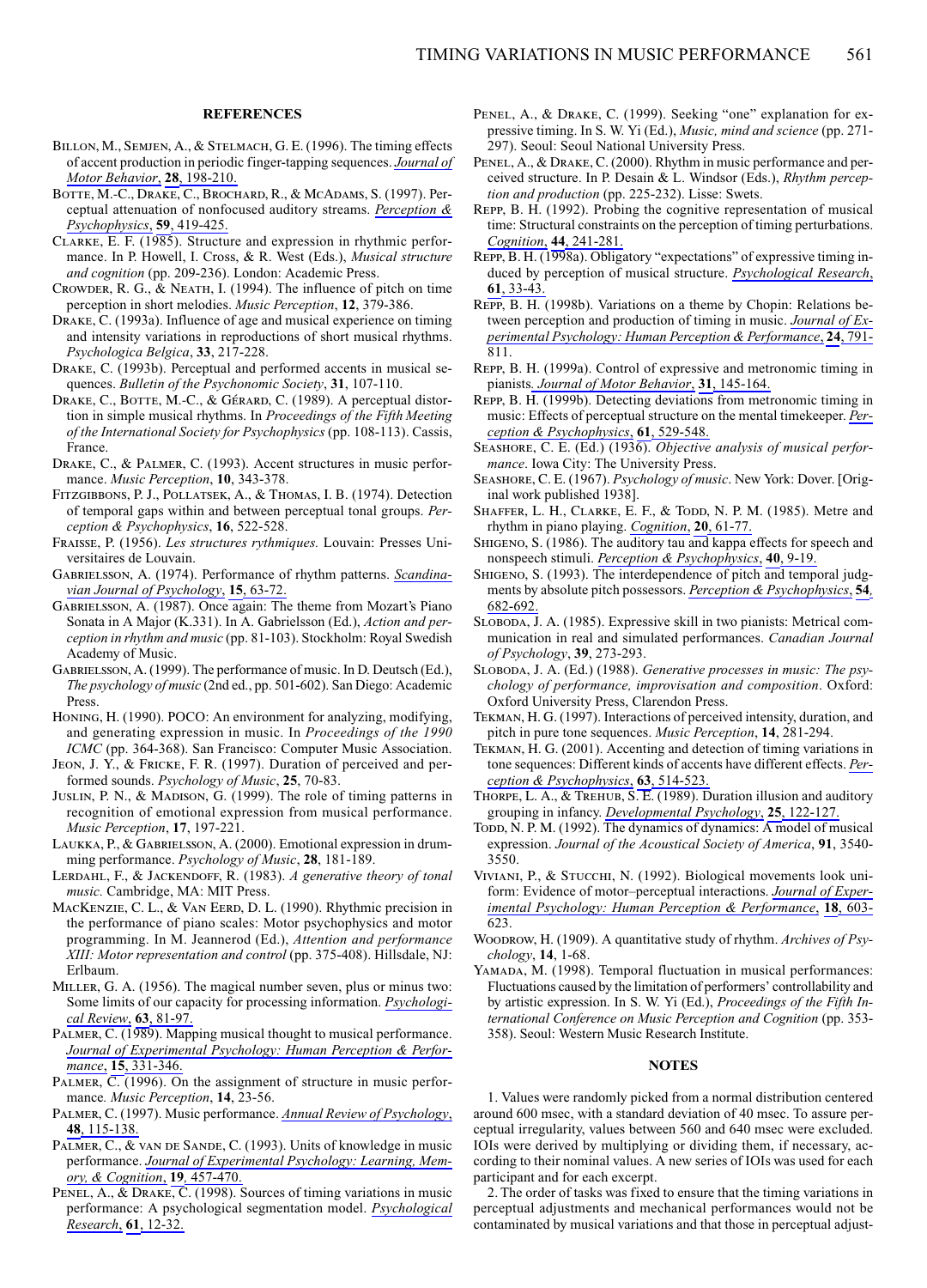#### **REFERENCES**

- BILLON, M., SEMJEN, A., & STELMACH, G. E. (1996). The timing effects of accent production in periodic finger-tapping sequences. *Journal of Motor Behavior*, **28**, 198-210.
- BOTTE, M.-C., DRAKE, C., BROCHARD, R., & MCADAMS, S. (1997). Perceptual attenuation of nonfocused auditory streams. *Perception & Psychophysics*, **59**, 419-425.
- Clarke, E. F. (1985). Structure and expression in rhythmic performance. In P. Howell, I. Cross, & R. West (Eds.), *Musical structure and cognition* (pp. 209-236). London: Academic Press.
- Crowder, R. G., & Neath, I. (1994). The influence of pitch on time perception in short melodies. *Music Perception*, **12**, 379-386.
- Drake, C. (1993a). Influence of age and musical experience on timing and intensity variations in reproductions of short musical rhythms. *Psychologica Belgica*, **33**, 217-228.
- Drake, C. (1993b). Perceptual and performed accents in musical sequences. *Bulletin of the Psychonomic Society*, **31**, 107-110.
- DRAKE, C., BOTTE, M.-C., & GÉRARD, C. (1989). A perceptual distortion in simple musical rhythms. In *Proceedings of the Fifth Meeting of the International Society for Psychophysics* (pp. 108-113). Cassis, France.
- DRAKE, C., & PALMER, C. (1993). Accent structures in music performance. *Music Perception*, **10**, 343-378.
- Fitzgibbons, P. J., Pollatsek, A., & Thomas, I. B. (1974). Detection of temporal gaps within and between perceptual tonal groups. *Perception & Psychophysics*, **16**, 522-528.
- Fraisse, P. (1956). *Les structures rythmiques.* Louvain: Presses Universitaires de Louvain.
- GABRIELSSON, A. (1974). Performance of rhythm patterns. *Scandinavian Journal of Psychology*, **15**, 63-72.
- Gabrielsson, A. (1987). Once again: The theme from Mozart's Piano Sonata in A Major (K.331). In A. Gabrielsson (Ed.), *Action and perception in rhythm and music* (pp. 81-103). Stockholm: Royal Swedish Academy of Music.
- Gabrielsson, A. (1999). The performance of music. In D. Deutsch (Ed.), *The psychology of music* (2nd ed., pp. 501-602). San Diego: Academic Press.
- Honing, H. (1990). POCO: An environment for analyzing, modifying, and generating expression in music. In *Proceedings of the 1990 ICMC* (pp. 364-368). San Francisco: Computer Music Association.
- Jeon, J. Y., & Fricke, F. R. (1997). Duration of perceived and performed sounds. *Psychology of Music*, **25**, 70-83.
- JUSLIN, P. N., & MADISON, G. (1999). The role of timing patterns in recognition of emotional expression from musical performance. *Music Perception*, **17**, 197-221.
- Laukka, P., & Gabrielsson, A. (2000). Emotional expression in drumming performance. *Psychology of Music*, **28**, 181-189.
- Lerdahl, F., & Jackendoff, R. (1983). *A generative theory of tonal music.* Cambridge, MA: MIT Press.
- MACKENZIE, C. L., & VAN EERD, D. L. (1990). Rhythmic precision in the performance of piano scales: Motor psychophysics and motor programming. In M. Jeannerod (Ed.), *Attention and performance XIII: Motor representation and control* (pp. 375-408). Hillsdale, NJ: Erlbaum.
- MILLER, G. A. (1956). The magical number seven, plus or minus two: Some limits of our capacity for processing information. *Psychological Review*, **63**, 81-97.
- PALMER, C. (1989). Mapping musical thought to musical performance. *Journal of Experimental Psychology: Human Perception & Performance*, **15**, 331-346.
- PALMER,  $\overline{C}$ . (1996). On the assignment of structure in music performance*. Music Perception*, **14**, 23-56.
- Palmer, C. (1997). Music performance. *Annual Review of Psychology*, **48**, 115-138.
- PALMER, C., & VAN DE SANDE, C. (1993). Units of knowledge in music performance. *Journal of Experimental Psychology: Learning, Memory, & Cognition*, **19***,* 457-470.
- PENEL, A., & DRAKE, C. (1998). Sources of timing variations in music performance: A psychological segmentation model. *Psychological Research*, **61**, 12-32.
- PENEL, A., & DRAKE, C. (1999). Seeking "one" explanation for expressive timing. In S. W. Yi (Ed.), *Music, mind and science* (pp. 271- 297). Seoul: Seoul National University Press.
- PENEL, A., & DRAKE, C. (2000). Rhythm in music performance and perceived structure. In P. Desain & L. Windsor (Eds.), *Rhythm perception and production* (pp. 225-232). Lisse: Swets.
- Repp, B. H. (1992). Probing the cognitive representation of musical time: Structural constraints on the perception of timing perturbations. *Cognition*, **44**, 241-281.
- REPP, B. H. (1998a). Obligatory "expectations" of expressive timing induced by perception of musical structure. *Psychological Research*, **61**, 33-43.
- REPP, B. H. (1998b). Variations on a theme by Chopin: Relations between perception and production of timing in music. *Journal of Experimental Psychology: Human Perception & Performance*, **24**, 791- 811.
- Repp, B. H. (1999a). Control of expressive and metronomic timing in pianists*. Journal of Motor Behavior*, **31**, 145-164.
- Repp, B. H. (1999b). Detecting deviations from metronomic timing in music: Effects of perceptual structure on the mental timekeeper. *Perception & Psychophysics*, **61**, 529-548.
- Seashore, C. E. (Ed.) (1936). *Objective analysis of musical performance*. Iowa City: The University Press.
- Seashore, C. E. (1967). *Psychology of music*. New York: Dover. [Original work published 1938].
- SHAFFER, L. H., CLARKE, E. F., & TODD, N. P. M. (1985). Metre and rhythm in piano playing. *Cognition*, **20**, 61-77.
- SHIGENO, S. (1986). The auditory tau and kappa effects for speech and nonspeech stimuli. *Perception & Psychophysics*, **40**, 9-19.
- SHIGENO, S. (1993). The interdependence of pitch and temporal judgments by absolute pitch possessors. *Perception & Psychophysics*, **54***,* 682-692.
- SLOBODA, J. A. (1985). Expressive skill in two pianists: Metrical communication in real and simulated performances. *Canadian Journal of Psychology*, **39**, 273-293.
- Sloboda, J. A. (Ed.) (1988). *Generative processes in music: The psychology of performance, improvisation and composition*. Oxford: Oxford University Press, Clarendon Press.
- Tekman, H. G. (1997). Interactions of perceived intensity, duration, and pitch in pure tone sequences. *Music Perception*, **14**, 281-294.
- Tekman, H. G. (2001). Accenting and detection of timing variations in tone sequences: Different kinds of accents have different effects. *Perception & Psychophysics*, **63**, 514-523.
- THORPE, L. A., & TREHUB, S. E. (1989). Duration illusion and auditory grouping in infancy. *Developmental Psychology*, **25**, 122-127.
- Topp, N. P. M. (1992). The dynamics of dynamics: A model of musical expression. *Journal of the Acoustical Society of America*, **91**, 3540- 3550.
- VIVIANI, P., & STUCCHI, N. (1992). Biological movements look uniform: Evidence of motor–perceptual interactions. *Journal of Experimental Psychology: Human Perception & Performance*, **18**, 603- 623.
- Woodrow, H. (1909). A quantitative study of rhythm. *Archives of Psychology*, **14**, 1-68.
- YAMADA, M. (1998). Temporal fluctuation in musical performances: Fluctuations caused by the limitation of performers' controllability and by artistic expression. In S. W. Yi (Ed.), *Proceedings of the Fifth International Conference on Music Perception and Cognition* (pp. 353- 358). Seoul: Western Music Research Institute.

#### **NOTES**

1. Values were randomly picked from a normal distribution centered around 600 msec, with a standard deviation of 40 msec. To assure perceptual irregularity, values between 560 and 640 msec were excluded. IOIs were derived by multiplying or dividing them, if necessary, according to their nominal values. A new series of IOIs was used for each participant and for each excerpt.

2. The order of tasks was fixed to ensure that the timing variations in perceptual adjustments and mechanical performances would not be contaminated by musical variations and that those in perceptual adjust